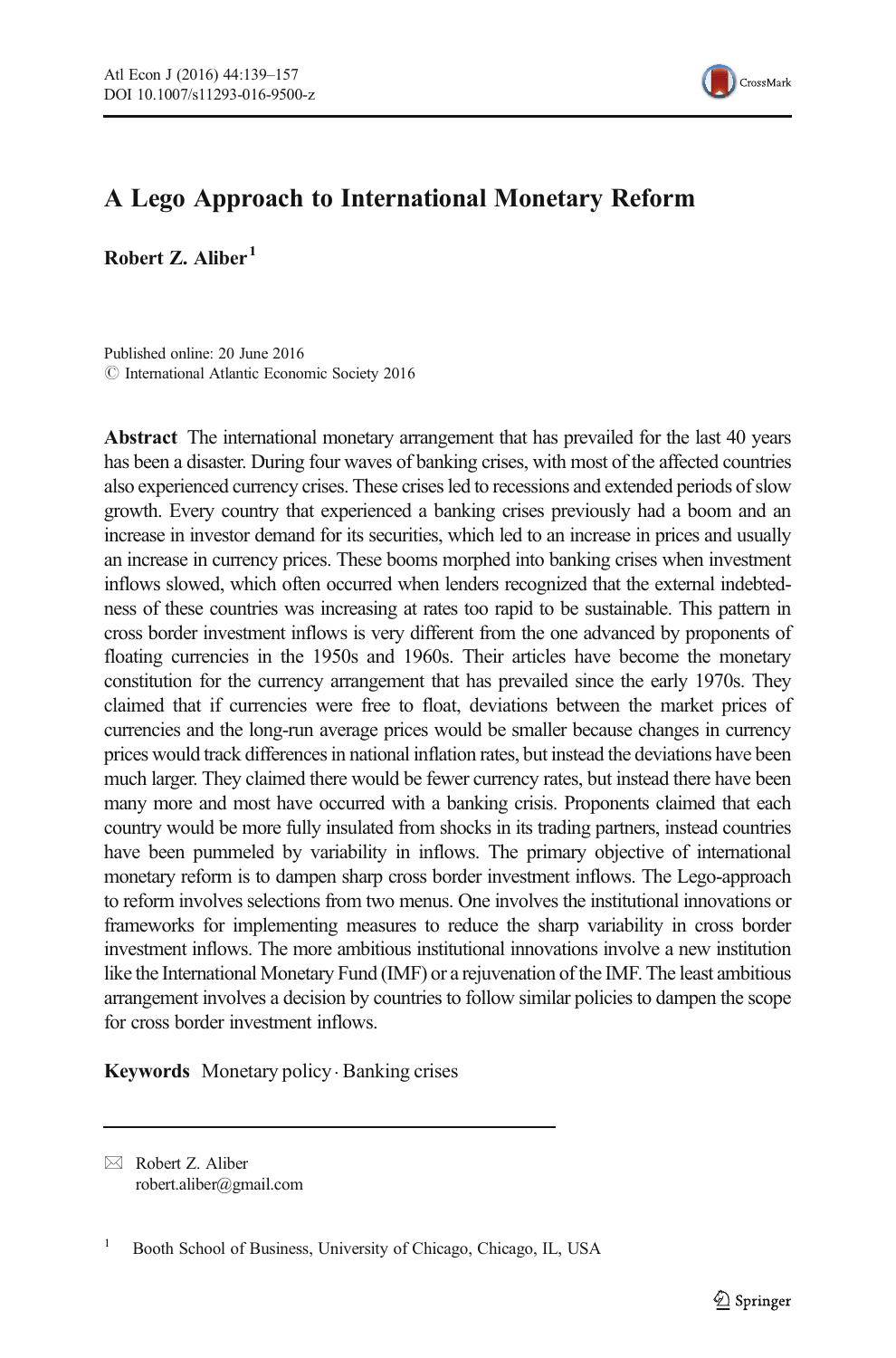

# A Lego Approach to International Monetary Reform

Robert Z. Aliber<sup>1</sup>

Published online: 20 June 2016  $\odot$  International Atlantic Economic Society 2016

Abstract The international monetary arrangement that has prevailed for the last 40 years has been a disaster. During four waves of banking crises, with most of the affected countries also experienced currency crises. These crises led to recessions and extended periods of slow growth. Every country that experienced a banking crises previously had a boom and an increase in investor demand for its securities, which led to an increase in prices and usually an increase in currency prices. These booms morphed into banking crises when investment inflows slowed, which often occurred when lenders recognized that the external indebtedness of these countries was increasing at rates too rapid to be sustainable. This pattern in cross border investment inflows is very different from the one advanced by proponents of floating currencies in the 1950s and 1960s. Their articles have become the monetary constitution for the currency arrangement that has prevailed since the early 1970s. They claimed that if currencies were free to float, deviations between the market prices of currencies and the long-run average prices would be smaller because changes in currency prices would track differences in national inflation rates, but instead the deviations have been much larger. They claimed there would be fewer currency rates, but instead there have been many more and most have occurred with a banking crisis. Proponents claimed that each country would be more fully insulated from shocks in its trading partners, instead countries have been pummeled by variability in inflows. The primary objective of international monetary reform is to dampen sharp cross border investment inflows. The Lego-approach to reform involves selections from two menus. One involves the institutional innovations or frameworks for implementing measures to reduce the sharp variability in cross border investment inflows. The more ambitious institutional innovations involve a new institution like the International Monetary Fund (IMF) or a rejuvenation of the IMF. The least ambitious arrangement involves a decision by countries to follow similar policies to dampen the scope for cross border investment inflows.

Keywords Monetary policy. Banking crises

 $\boxtimes$  Robert Z. Aliber robert.aliber@gmail.com

<sup>&</sup>lt;sup>1</sup> Booth School of Business, University of Chicago, Chicago, IL, USA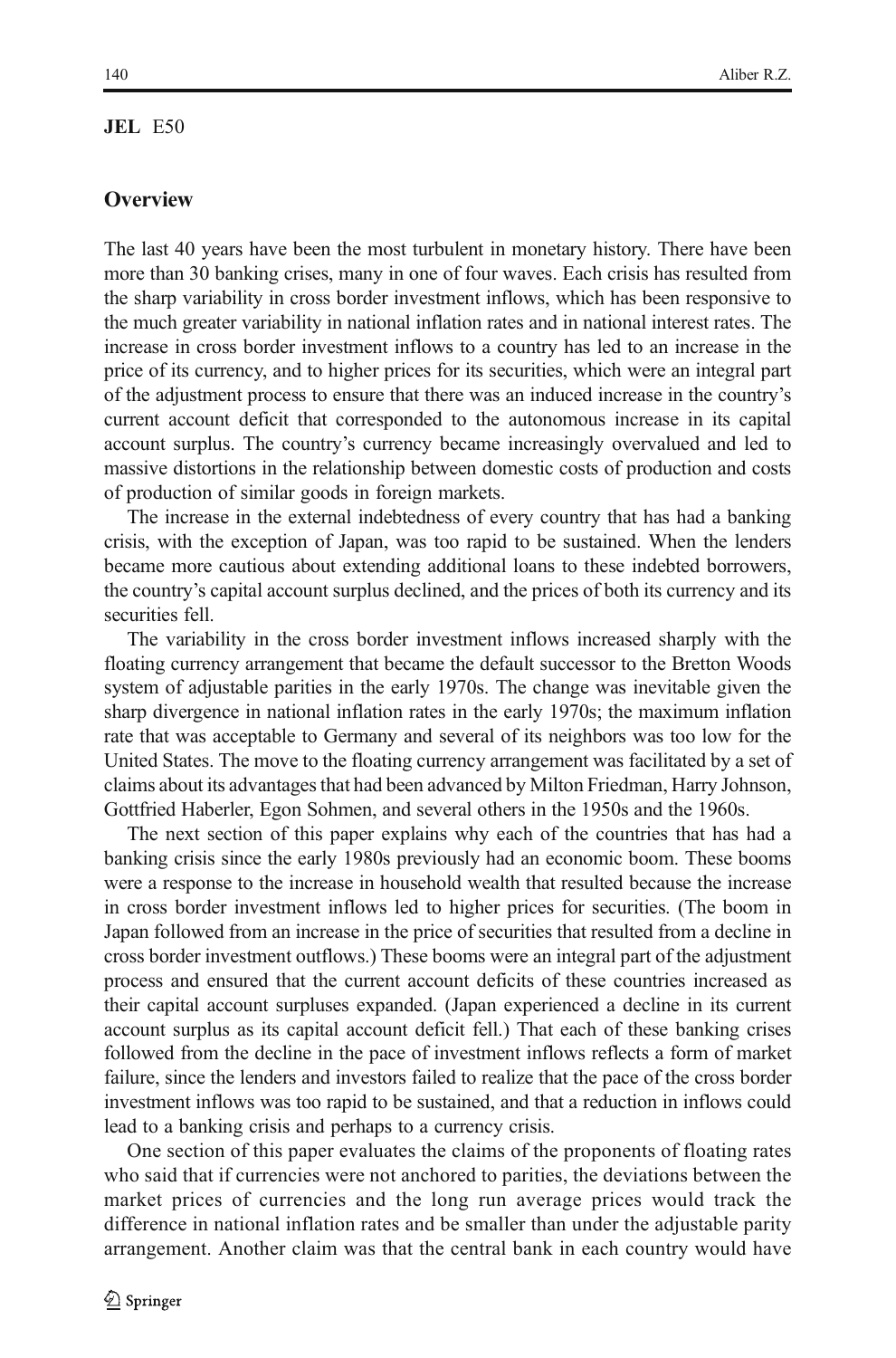#### JEL E50

## **Overview**

The last 40 years have been the most turbulent in monetary history. There have been more than 30 banking crises, many in one of four waves. Each crisis has resulted from the sharp variability in cross border investment inflows, which has been responsive to the much greater variability in national inflation rates and in national interest rates. The increase in cross border investment inflows to a country has led to an increase in the price of its currency, and to higher prices for its securities, which were an integral part of the adjustment process to ensure that there was an induced increase in the country's current account deficit that corresponded to the autonomous increase in its capital account surplus. The country's currency became increasingly overvalued and led to massive distortions in the relationship between domestic costs of production and costs of production of similar goods in foreign markets.

The increase in the external indebtedness of every country that has had a banking crisis, with the exception of Japan, was too rapid to be sustained. When the lenders became more cautious about extending additional loans to these indebted borrowers, the country's capital account surplus declined, and the prices of both its currency and its securities fell.

The variability in the cross border investment inflows increased sharply with the floating currency arrangement that became the default successor to the Bretton Woods system of adjustable parities in the early 1970s. The change was inevitable given the sharp divergence in national inflation rates in the early 1970s; the maximum inflation rate that was acceptable to Germany and several of its neighbors was too low for the United States. The move to the floating currency arrangement was facilitated by a set of claims about its advantages that had been advanced by Milton Friedman, Harry Johnson, Gottfried Haberler, Egon Sohmen, and several others in the 1950s and the 1960s.

The next section of this paper explains why each of the countries that has had a banking crisis since the early 1980s previously had an economic boom. These booms were a response to the increase in household wealth that resulted because the increase in cross border investment inflows led to higher prices for securities. (The boom in Japan followed from an increase in the price of securities that resulted from a decline in cross border investment outflows.) These booms were an integral part of the adjustment process and ensured that the current account deficits of these countries increased as their capital account surpluses expanded. (Japan experienced a decline in its current account surplus as its capital account deficit fell.) That each of these banking crises followed from the decline in the pace of investment inflows reflects a form of market failure, since the lenders and investors failed to realize that the pace of the cross border investment inflows was too rapid to be sustained, and that a reduction in inflows could lead to a banking crisis and perhaps to a currency crisis.

One section of this paper evaluates the claims of the proponents of floating rates who said that if currencies were not anchored to parities, the deviations between the market prices of currencies and the long run average prices would track the difference in national inflation rates and be smaller than under the adjustable parity arrangement. Another claim was that the central bank in each country would have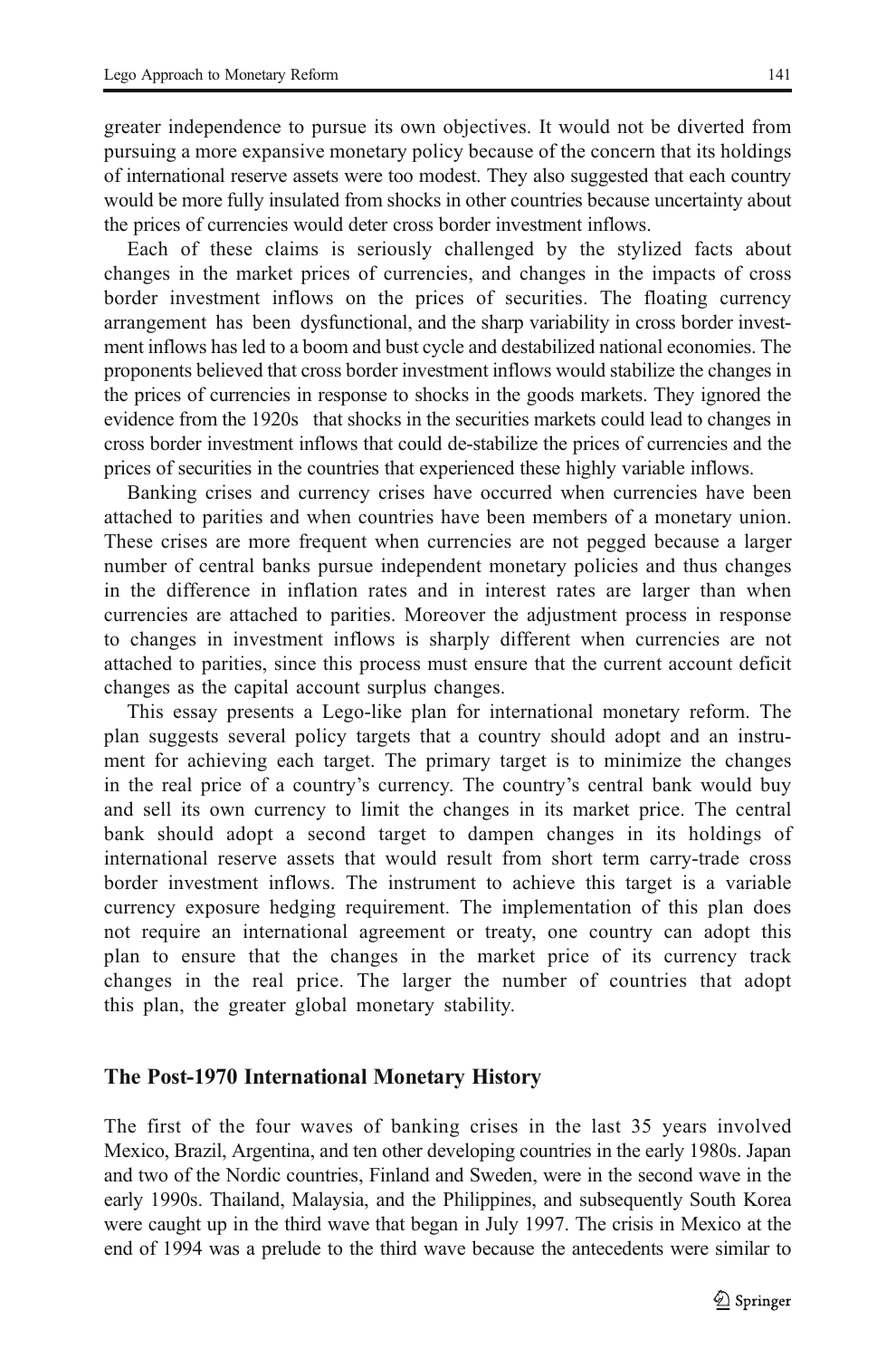greater independence to pursue its own objectives. It would not be diverted from pursuing a more expansive monetary policy because of the concern that its holdings of international reserve assets were too modest. They also suggested that each country would be more fully insulated from shocks in other countries because uncertainty about the prices of currencies would deter cross border investment inflows.

Each of these claims is seriously challenged by the stylized facts about changes in the market prices of currencies, and changes in the impacts of cross border investment inflows on the prices of securities. The floating currency arrangement has been dysfunctional, and the sharp variability in cross border investment inflows has led to a boom and bust cycle and destabilized national economies. The proponents believed that cross border investment inflows would stabilize the changes in the prices of currencies in response to shocks in the goods markets. They ignored the evidence from the 1920s that shocks in the securities markets could lead to changes in cross border investment inflows that could de-stabilize the prices of currencies and the prices of securities in the countries that experienced these highly variable inflows.

Banking crises and currency crises have occurred when currencies have been attached to parities and when countries have been members of a monetary union. These crises are more frequent when currencies are not pegged because a larger number of central banks pursue independent monetary policies and thus changes in the difference in inflation rates and in interest rates are larger than when currencies are attached to parities. Moreover the adjustment process in response to changes in investment inflows is sharply different when currencies are not attached to parities, since this process must ensure that the current account deficit changes as the capital account surplus changes.

This essay presents a Lego-like plan for international monetary reform. The plan suggests several policy targets that a country should adopt and an instrument for achieving each target. The primary target is to minimize the changes in the real price of a country's currency. The country's central bank would buy and sell its own currency to limit the changes in its market price. The central bank should adopt a second target to dampen changes in its holdings of international reserve assets that would result from short term carry-trade cross border investment inflows. The instrument to achieve this target is a variable currency exposure hedging requirement. The implementation of this plan does not require an international agreement or treaty, one country can adopt this plan to ensure that the changes in the market price of its currency track changes in the real price. The larger the number of countries that adopt this plan, the greater global monetary stability.

## The Post-1970 International Monetary History

The first of the four waves of banking crises in the last 35 years involved Mexico, Brazil, Argentina, and ten other developing countries in the early 1980s. Japan and two of the Nordic countries, Finland and Sweden, were in the second wave in the early 1990s. Thailand, Malaysia, and the Philippines, and subsequently South Korea were caught up in the third wave that began in July 1997. The crisis in Mexico at the end of 1994 was a prelude to the third wave because the antecedents were similar to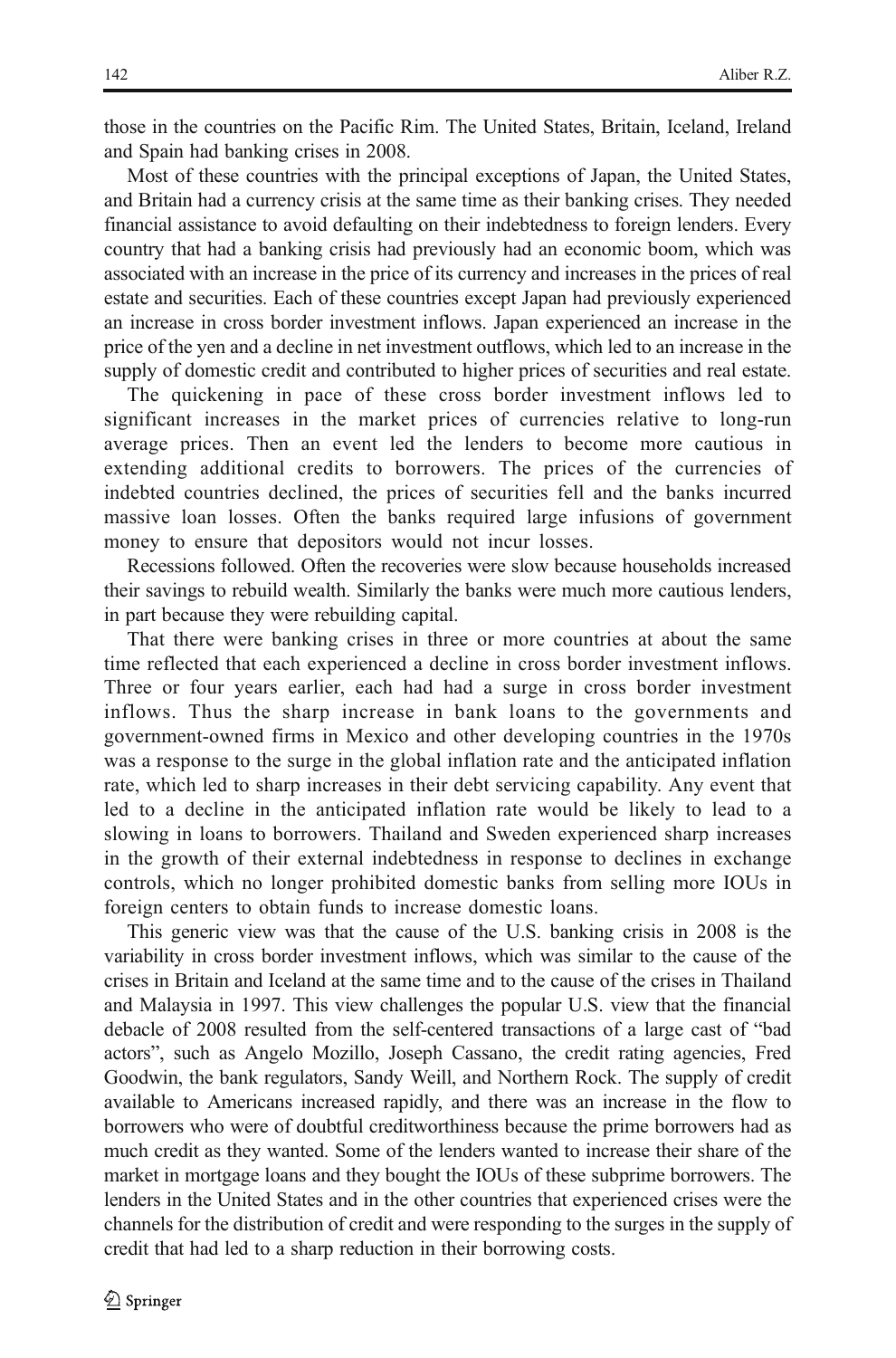those in the countries on the Pacific Rim. The United States, Britain, Iceland, Ireland and Spain had banking crises in 2008.

Most of these countries with the principal exceptions of Japan, the United States, and Britain had a currency crisis at the same time as their banking crises. They needed financial assistance to avoid defaulting on their indebtedness to foreign lenders. Every country that had a banking crisis had previously had an economic boom, which was associated with an increase in the price of its currency and increases in the prices of real estate and securities. Each of these countries except Japan had previously experienced an increase in cross border investment inflows. Japan experienced an increase in the price of the yen and a decline in net investment outflows, which led to an increase in the supply of domestic credit and contributed to higher prices of securities and real estate.

The quickening in pace of these cross border investment inflows led to significant increases in the market prices of currencies relative to long-run average prices. Then an event led the lenders to become more cautious in extending additional credits to borrowers. The prices of the currencies of indebted countries declined, the prices of securities fell and the banks incurred massive loan losses. Often the banks required large infusions of government money to ensure that depositors would not incur losses.

Recessions followed. Often the recoveries were slow because households increased their savings to rebuild wealth. Similarly the banks were much more cautious lenders, in part because they were rebuilding capital.

That there were banking crises in three or more countries at about the same time reflected that each experienced a decline in cross border investment inflows. Three or four years earlier, each had had a surge in cross border investment inflows. Thus the sharp increase in bank loans to the governments and government-owned firms in Mexico and other developing countries in the 1970s was a response to the surge in the global inflation rate and the anticipated inflation rate, which led to sharp increases in their debt servicing capability. Any event that led to a decline in the anticipated inflation rate would be likely to lead to a slowing in loans to borrowers. Thailand and Sweden experienced sharp increases in the growth of their external indebtedness in response to declines in exchange controls, which no longer prohibited domestic banks from selling more IOUs in foreign centers to obtain funds to increase domestic loans.

This generic view was that the cause of the U.S. banking crisis in 2008 is the variability in cross border investment inflows, which was similar to the cause of the crises in Britain and Iceland at the same time and to the cause of the crises in Thailand and Malaysia in 1997. This view challenges the popular U.S. view that the financial debacle of 2008 resulted from the self-centered transactions of a large cast of "bad actors", such as Angelo Mozillo, Joseph Cassano, the credit rating agencies, Fred Goodwin, the bank regulators, Sandy Weill, and Northern Rock. The supply of credit available to Americans increased rapidly, and there was an increase in the flow to borrowers who were of doubtful creditworthiness because the prime borrowers had as much credit as they wanted. Some of the lenders wanted to increase their share of the market in mortgage loans and they bought the IOUs of these subprime borrowers. The lenders in the United States and in the other countries that experienced crises were the channels for the distribution of credit and were responding to the surges in the supply of credit that had led to a sharp reduction in their borrowing costs.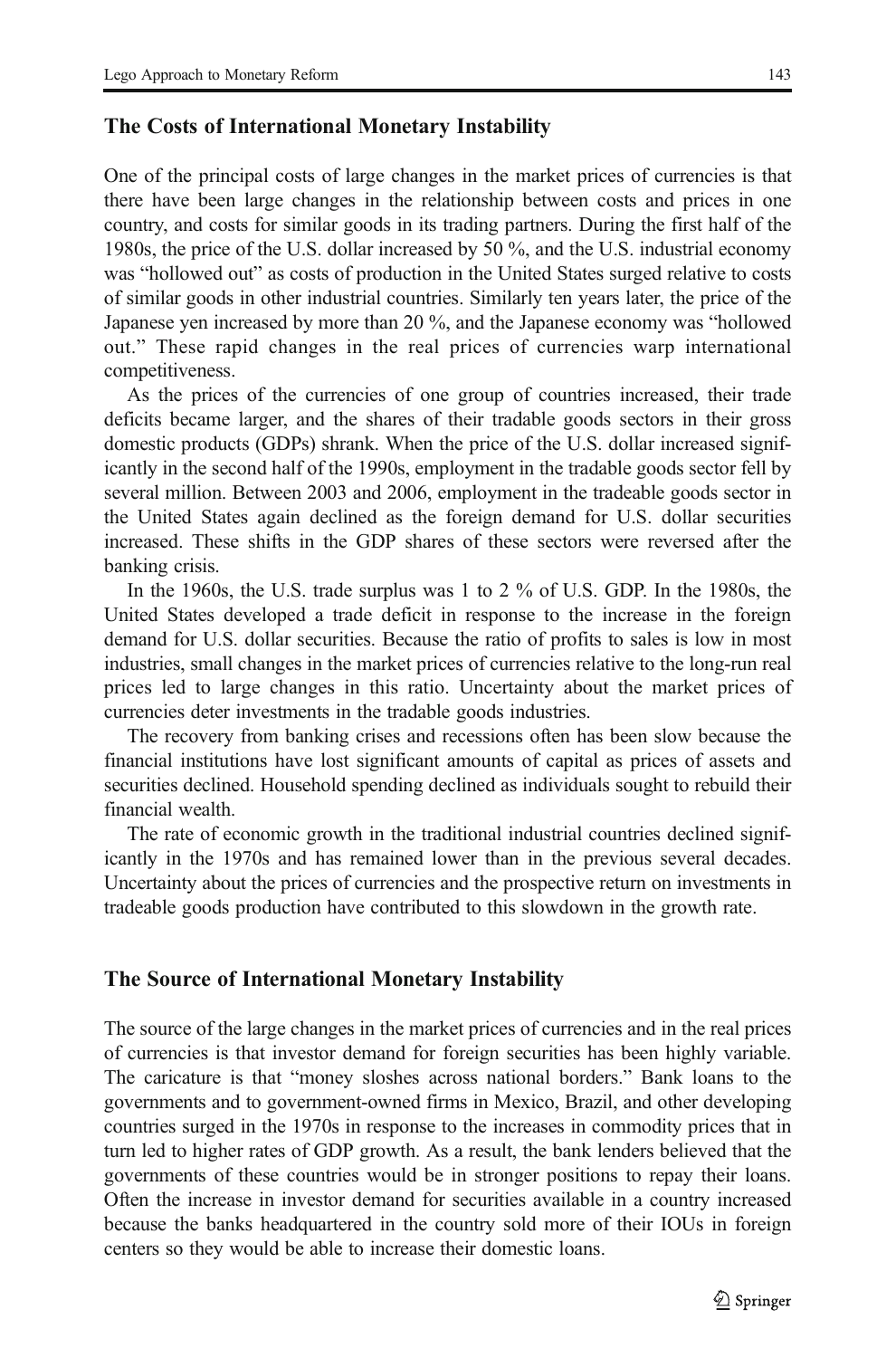#### The Costs of International Monetary Instability

One of the principal costs of large changes in the market prices of currencies is that there have been large changes in the relationship between costs and prices in one country, and costs for similar goods in its trading partners. During the first half of the 1980s, the price of the U.S. dollar increased by 50 %, and the U.S. industrial economy was "hollowed out" as costs of production in the United States surged relative to costs of similar goods in other industrial countries. Similarly ten years later, the price of the Japanese yen increased by more than 20 %, and the Japanese economy was "hollowed out." These rapid changes in the real prices of currencies warp international competitiveness.

As the prices of the currencies of one group of countries increased, their trade deficits became larger, and the shares of their tradable goods sectors in their gross domestic products (GDPs) shrank. When the price of the U.S. dollar increased significantly in the second half of the 1990s, employment in the tradable goods sector fell by several million. Between 2003 and 2006, employment in the tradeable goods sector in the United States again declined as the foreign demand for U.S. dollar securities increased. These shifts in the GDP shares of these sectors were reversed after the banking crisis.

In the 1960s, the U.S. trade surplus was 1 to 2 % of U.S. GDP. In the 1980s, the United States developed a trade deficit in response to the increase in the foreign demand for U.S. dollar securities. Because the ratio of profits to sales is low in most industries, small changes in the market prices of currencies relative to the long-run real prices led to large changes in this ratio. Uncertainty about the market prices of currencies deter investments in the tradable goods industries.

The recovery from banking crises and recessions often has been slow because the financial institutions have lost significant amounts of capital as prices of assets and securities declined. Household spending declined as individuals sought to rebuild their financial wealth.

The rate of economic growth in the traditional industrial countries declined significantly in the 1970s and has remained lower than in the previous several decades. Uncertainty about the prices of currencies and the prospective return on investments in tradeable goods production have contributed to this slowdown in the growth rate.

## The Source of International Monetary Instability

The source of the large changes in the market prices of currencies and in the real prices of currencies is that investor demand for foreign securities has been highly variable. The caricature is that "money sloshes across national borders." Bank loans to the governments and to government-owned firms in Mexico, Brazil, and other developing countries surged in the 1970s in response to the increases in commodity prices that in turn led to higher rates of GDP growth. As a result, the bank lenders believed that the governments of these countries would be in stronger positions to repay their loans. Often the increase in investor demand for securities available in a country increased because the banks headquartered in the country sold more of their IOUs in foreign centers so they would be able to increase their domestic loans.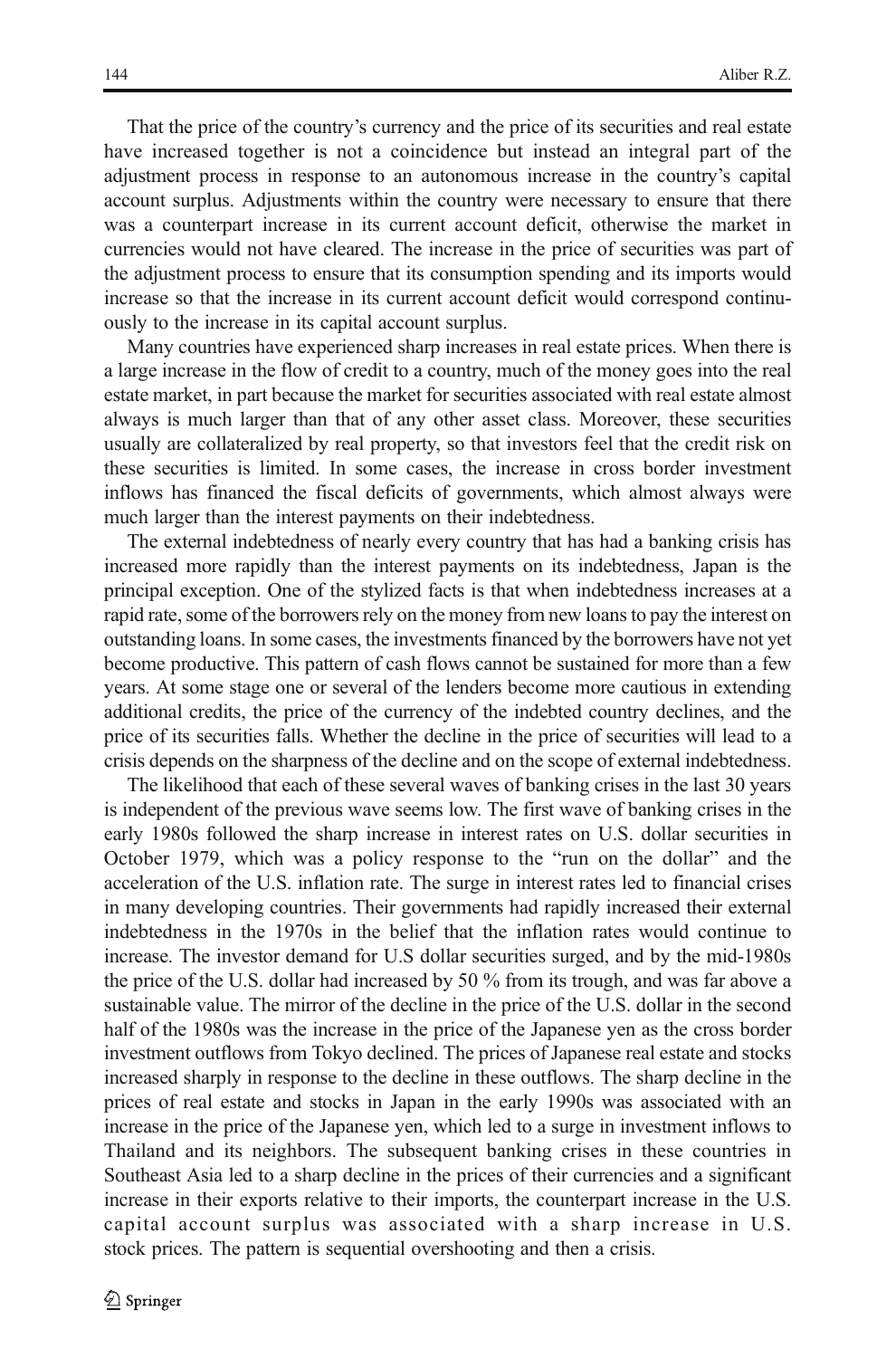That the price of the country's currency and the price of its securities and real estate have increased together is not a coincidence but instead an integral part of the adjustment process in response to an autonomous increase in the country's capital account surplus. Adjustments within the country were necessary to ensure that there was a counterpart increase in its current account deficit, otherwise the market in currencies would not have cleared. The increase in the price of securities was part of the adjustment process to ensure that its consumption spending and its imports would increase so that the increase in its current account deficit would correspond continuously to the increase in its capital account surplus.

Many countries have experienced sharp increases in real estate prices. When there is a large increase in the flow of credit to a country, much of the money goes into the real estate market, in part because the market for securities associated with real estate almost always is much larger than that of any other asset class. Moreover, these securities usually are collateralized by real property, so that investors feel that the credit risk on these securities is limited. In some cases, the increase in cross border investment inflows has financed the fiscal deficits of governments, which almost always were much larger than the interest payments on their indebtedness.

The external indebtedness of nearly every country that has had a banking crisis has increased more rapidly than the interest payments on its indebtedness, Japan is the principal exception. One of the stylized facts is that when indebtedness increases at a rapid rate, some of the borrowers rely on the money from new loans to pay the interest on outstanding loans. In some cases, the investments financed by the borrowers have not yet become productive. This pattern of cash flows cannot be sustained for more than a few years. At some stage one or several of the lenders become more cautious in extending additional credits, the price of the currency of the indebted country declines, and the price of its securities falls. Whether the decline in the price of securities will lead to a crisis depends on the sharpness of the decline and on the scope of external indebtedness.

The likelihood that each of these several waves of banking crises in the last 30 years is independent of the previous wave seems low. The first wave of banking crises in the early 1980s followed the sharp increase in interest rates on U.S. dollar securities in October 1979, which was a policy response to the "run on the dollar" and the acceleration of the U.S. inflation rate. The surge in interest rates led to financial crises in many developing countries. Their governments had rapidly increased their external indebtedness in the 1970s in the belief that the inflation rates would continue to increase. The investor demand for U.S dollar securities surged, and by the mid-1980s the price of the U.S. dollar had increased by 50 % from its trough, and was far above a sustainable value. The mirror of the decline in the price of the U.S. dollar in the second half of the 1980s was the increase in the price of the Japanese yen as the cross border investment outflows from Tokyo declined. The prices of Japanese real estate and stocks increased sharply in response to the decline in these outflows. The sharp decline in the prices of real estate and stocks in Japan in the early 1990s was associated with an increase in the price of the Japanese yen, which led to a surge in investment inflows to Thailand and its neighbors. The subsequent banking crises in these countries in Southeast Asia led to a sharp decline in the prices of their currencies and a significant increase in their exports relative to their imports, the counterpart increase in the U.S. capital account surplus was associated with a sharp increase in U.S. stock prices. The pattern is sequential overshooting and then a crisis.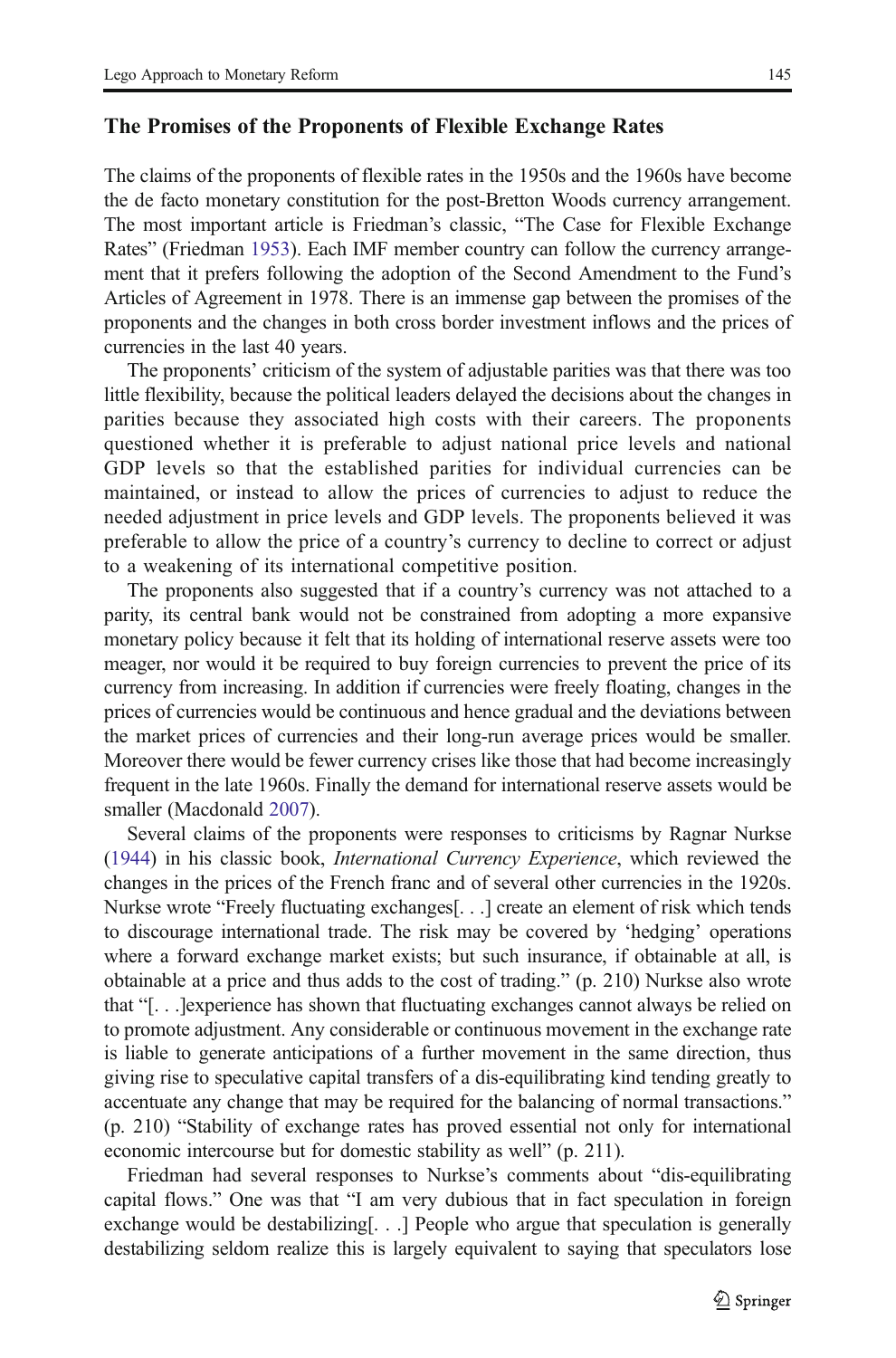## The Promises of the Proponents of Flexible Exchange Rates

The claims of the proponents of flexible rates in the 1950s and the 1960s have become the de facto monetary constitution for the post-Bretton Woods currency arrangement. The most important article is Friedman's classic, "The Case for Flexible Exchange Rates" (Friedman [1953](#page-18-0)). Each IMF member country can follow the currency arrangement that it prefers following the adoption of the Second Amendment to the Fund's Articles of Agreement in 1978. There is an immense gap between the promises of the proponents and the changes in both cross border investment inflows and the prices of currencies in the last 40 years.

The proponents' criticism of the system of adjustable parities was that there was too little flexibility, because the political leaders delayed the decisions about the changes in parities because they associated high costs with their careers. The proponents questioned whether it is preferable to adjust national price levels and national GDP levels so that the established parities for individual currencies can be maintained, or instead to allow the prices of currencies to adjust to reduce the needed adjustment in price levels and GDP levels. The proponents believed it was preferable to allow the price of a country's currency to decline to correct or adjust to a weakening of its international competitive position.

The proponents also suggested that if a country's currency was not attached to a parity, its central bank would not be constrained from adopting a more expansive monetary policy because it felt that its holding of international reserve assets were too meager, nor would it be required to buy foreign currencies to prevent the price of its currency from increasing. In addition if currencies were freely floating, changes in the prices of currencies would be continuous and hence gradual and the deviations between the market prices of currencies and their long-run average prices would be smaller. Moreover there would be fewer currency crises like those that had become increasingly frequent in the late 1960s. Finally the demand for international reserve assets would be smaller (Macdonald [2007\)](#page-18-0).

Several claims of the proponents were responses to criticisms by Ragnar Nurkse [\(1944\)](#page-18-0) in his classic book, International Currency Experience, which reviewed the changes in the prices of the French franc and of several other currencies in the 1920s. Nurkse wrote "Freely fluctuating exchanges[. . .] create an element of risk which tends to discourage international trade. The risk may be covered by 'hedging' operations where a forward exchange market exists; but such insurance, if obtainable at all, is obtainable at a price and thus adds to the cost of trading." (p. 210) Nurkse also wrote that "[. . .]experience has shown that fluctuating exchanges cannot always be relied on to promote adjustment. Any considerable or continuous movement in the exchange rate is liable to generate anticipations of a further movement in the same direction, thus giving rise to speculative capital transfers of a dis-equilibrating kind tending greatly to accentuate any change that may be required for the balancing of normal transactions." (p. 210) "Stability of exchange rates has proved essential not only for international economic intercourse but for domestic stability as well" (p. 211).

Friedman had several responses to Nurkse's comments about "dis-equilibrating capital flows." One was that "I am very dubious that in fact speculation in foreign exchange would be destabilizing[. . .] People who argue that speculation is generally destabilizing seldom realize this is largely equivalent to saying that speculators lose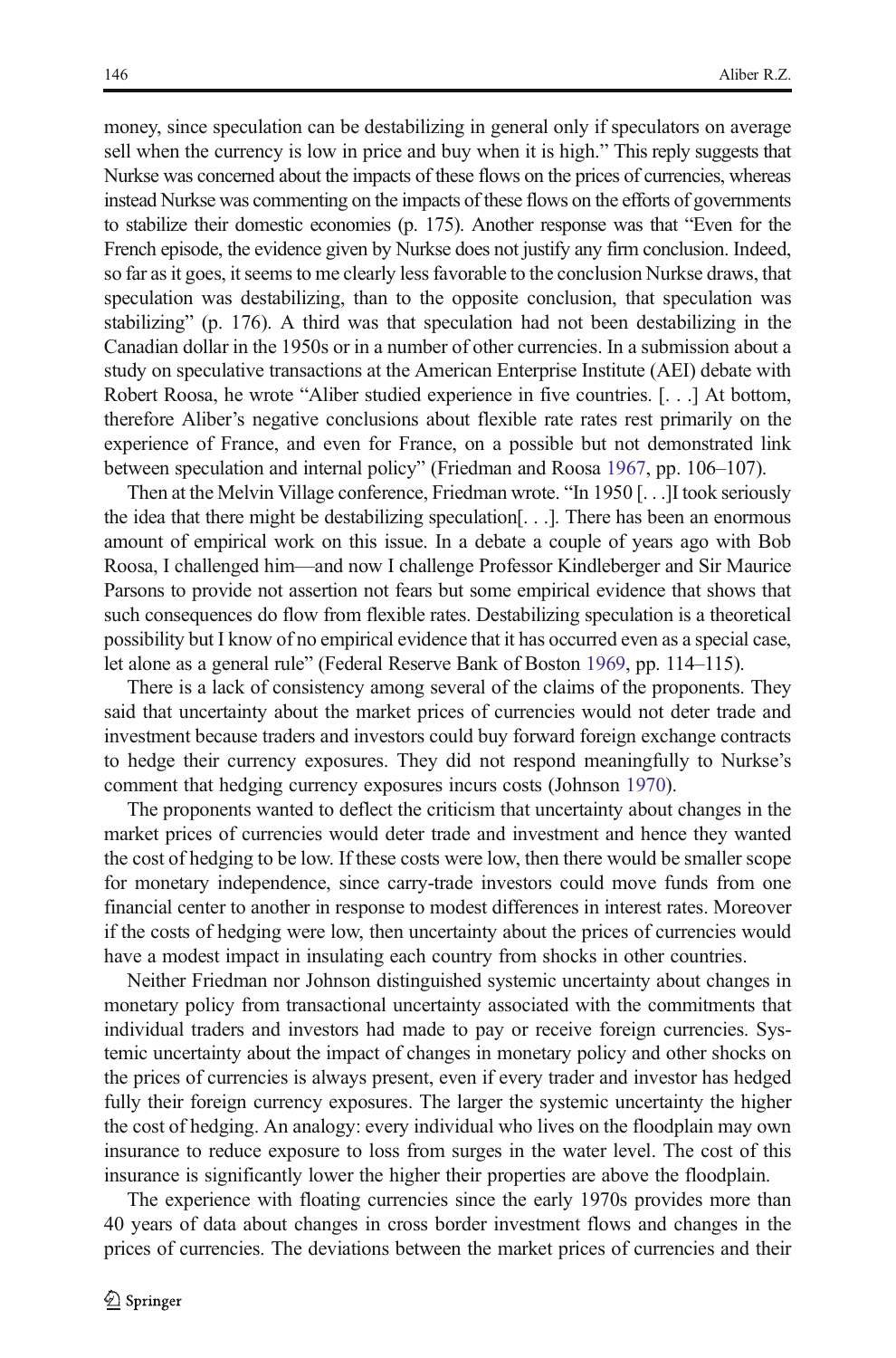money, since speculation can be destabilizing in general only if speculators on average sell when the currency is low in price and buy when it is high." This reply suggests that Nurkse was concerned about the impacts of these flows on the prices of currencies, whereas instead Nurkse was commenting on the impacts of these flows on the efforts of governments to stabilize their domestic economies (p. 175). Another response was that "Even for the French episode, the evidence given by Nurkse does not justify any firm conclusion. Indeed, so far as it goes, it seems to me clearly less favorable to the conclusion Nurkse draws, that speculation was destabilizing, than to the opposite conclusion, that speculation was stabilizing" (p. 176). A third was that speculation had not been destabilizing in the Canadian dollar in the 1950s or in a number of other currencies. In a submission about a study on speculative transactions at the American Enterprise Institute (AEI) debate with Robert Roosa, he wrote "Aliber studied experience in five countries. [. . .] At bottom, therefore Aliber's negative conclusions about flexible rate rates rest primarily on the experience of France, and even for France, on a possible but not demonstrated link between speculation and internal policy" (Friedman and Roosa [1967,](#page-18-0) pp. 106–107).

Then at the Melvin Village conference, Friedman wrote. "In 1950 [. . .]I took seriously the idea that there might be destabilizing speculation[. . .]. There has been an enormous amount of empirical work on this issue. In a debate a couple of years ago with Bob Roosa, I challenged him—and now I challenge Professor Kindleberger and Sir Maurice Parsons to provide not assertion not fears but some empirical evidence that shows that such consequences do flow from flexible rates. Destabilizing speculation is a theoretical possibility but I know of no empirical evidence that it has occurred even as a special case, let alone as a general rule" (Federal Reserve Bank of Boston [1969,](#page-18-0) pp. 114–115).

There is a lack of consistency among several of the claims of the proponents. They said that uncertainty about the market prices of currencies would not deter trade and investment because traders and investors could buy forward foreign exchange contracts to hedge their currency exposures. They did not respond meaningfully to Nurkse's comment that hedging currency exposures incurs costs (Johnson [1970\)](#page-18-0).

The proponents wanted to deflect the criticism that uncertainty about changes in the market prices of currencies would deter trade and investment and hence they wanted the cost of hedging to be low. If these costs were low, then there would be smaller scope for monetary independence, since carry-trade investors could move funds from one financial center to another in response to modest differences in interest rates. Moreover if the costs of hedging were low, then uncertainty about the prices of currencies would have a modest impact in insulating each country from shocks in other countries.

Neither Friedman nor Johnson distinguished systemic uncertainty about changes in monetary policy from transactional uncertainty associated with the commitments that individual traders and investors had made to pay or receive foreign currencies. Systemic uncertainty about the impact of changes in monetary policy and other shocks on the prices of currencies is always present, even if every trader and investor has hedged fully their foreign currency exposures. The larger the systemic uncertainty the higher the cost of hedging. An analogy: every individual who lives on the floodplain may own insurance to reduce exposure to loss from surges in the water level. The cost of this insurance is significantly lower the higher their properties are above the floodplain.

The experience with floating currencies since the early 1970s provides more than 40 years of data about changes in cross border investment flows and changes in the prices of currencies. The deviations between the market prices of currencies and their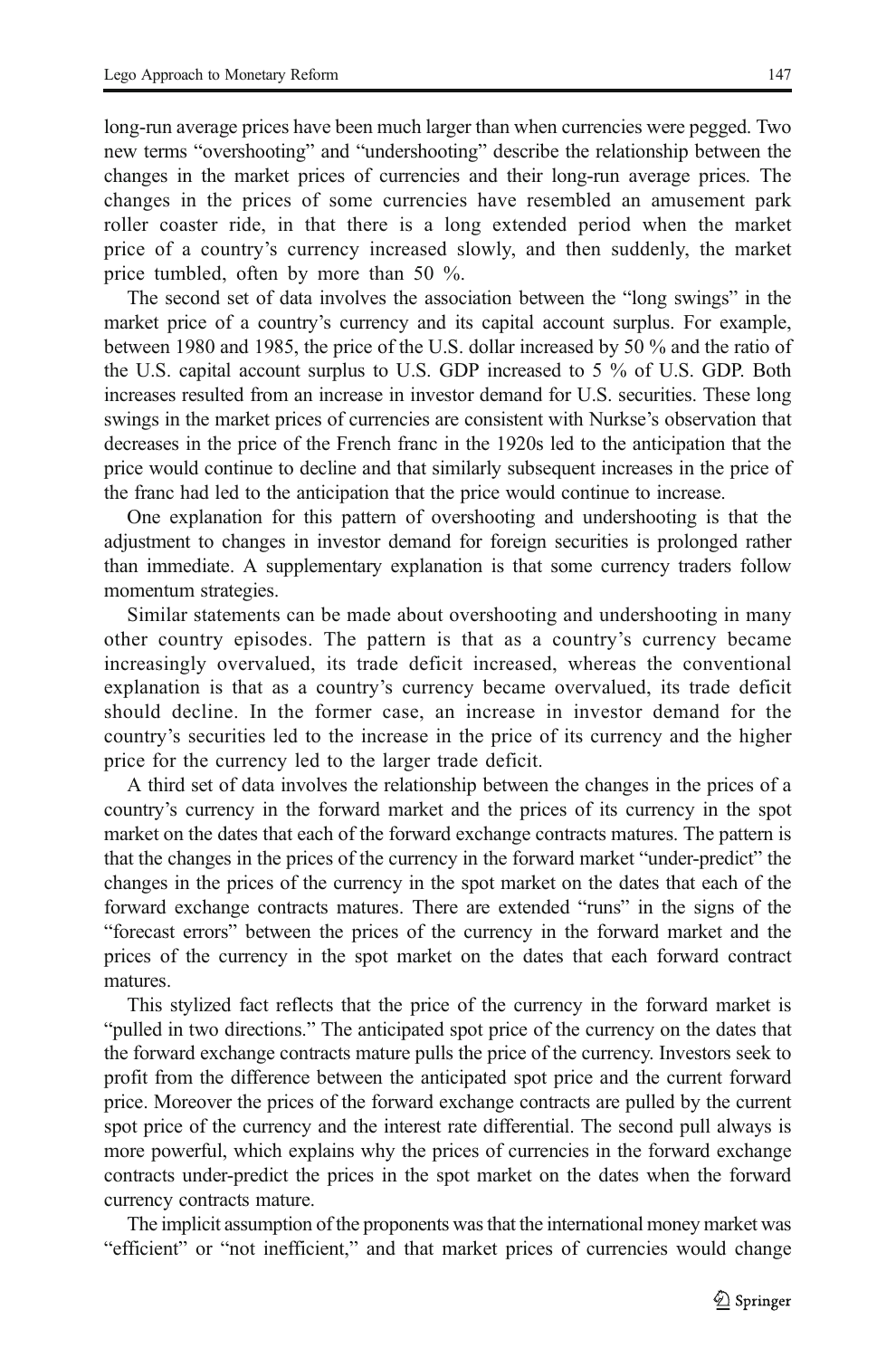long-run average prices have been much larger than when currencies were pegged. Two new terms "overshooting" and "undershooting" describe the relationship between the changes in the market prices of currencies and their long-run average prices. The changes in the prices of some currencies have resembled an amusement park roller coaster ride, in that there is a long extended period when the market price of a country's currency increased slowly, and then suddenly, the market price tumbled, often by more than 50 %.

The second set of data involves the association between the "long swings" in the market price of a country's currency and its capital account surplus. For example, between 1980 and 1985, the price of the U.S. dollar increased by 50 % and the ratio of the U.S. capital account surplus to U.S. GDP increased to 5 % of U.S. GDP. Both increases resulted from an increase in investor demand for U.S. securities. These long swings in the market prices of currencies are consistent with Nurkse's observation that decreases in the price of the French franc in the 1920s led to the anticipation that the price would continue to decline and that similarly subsequent increases in the price of the franc had led to the anticipation that the price would continue to increase.

One explanation for this pattern of overshooting and undershooting is that the adjustment to changes in investor demand for foreign securities is prolonged rather than immediate. A supplementary explanation is that some currency traders follow momentum strategies.

Similar statements can be made about overshooting and undershooting in many other country episodes. The pattern is that as a country's currency became increasingly overvalued, its trade deficit increased, whereas the conventional explanation is that as a country's currency became overvalued, its trade deficit should decline. In the former case, an increase in investor demand for the country's securities led to the increase in the price of its currency and the higher price for the currency led to the larger trade deficit.

A third set of data involves the relationship between the changes in the prices of a country's currency in the forward market and the prices of its currency in the spot market on the dates that each of the forward exchange contracts matures. The pattern is that the changes in the prices of the currency in the forward market "under-predict" the changes in the prices of the currency in the spot market on the dates that each of the forward exchange contracts matures. There are extended "runs" in the signs of the "forecast errors" between the prices of the currency in the forward market and the prices of the currency in the spot market on the dates that each forward contract matures.

This stylized fact reflects that the price of the currency in the forward market is "pulled in two directions." The anticipated spot price of the currency on the dates that the forward exchange contracts mature pulls the price of the currency. Investors seek to profit from the difference between the anticipated spot price and the current forward price. Moreover the prices of the forward exchange contracts are pulled by the current spot price of the currency and the interest rate differential. The second pull always is more powerful, which explains why the prices of currencies in the forward exchange contracts under-predict the prices in the spot market on the dates when the forward currency contracts mature.

The implicit assumption of the proponents was that the international money market was "efficient" or "not inefficient," and that market prices of currencies would change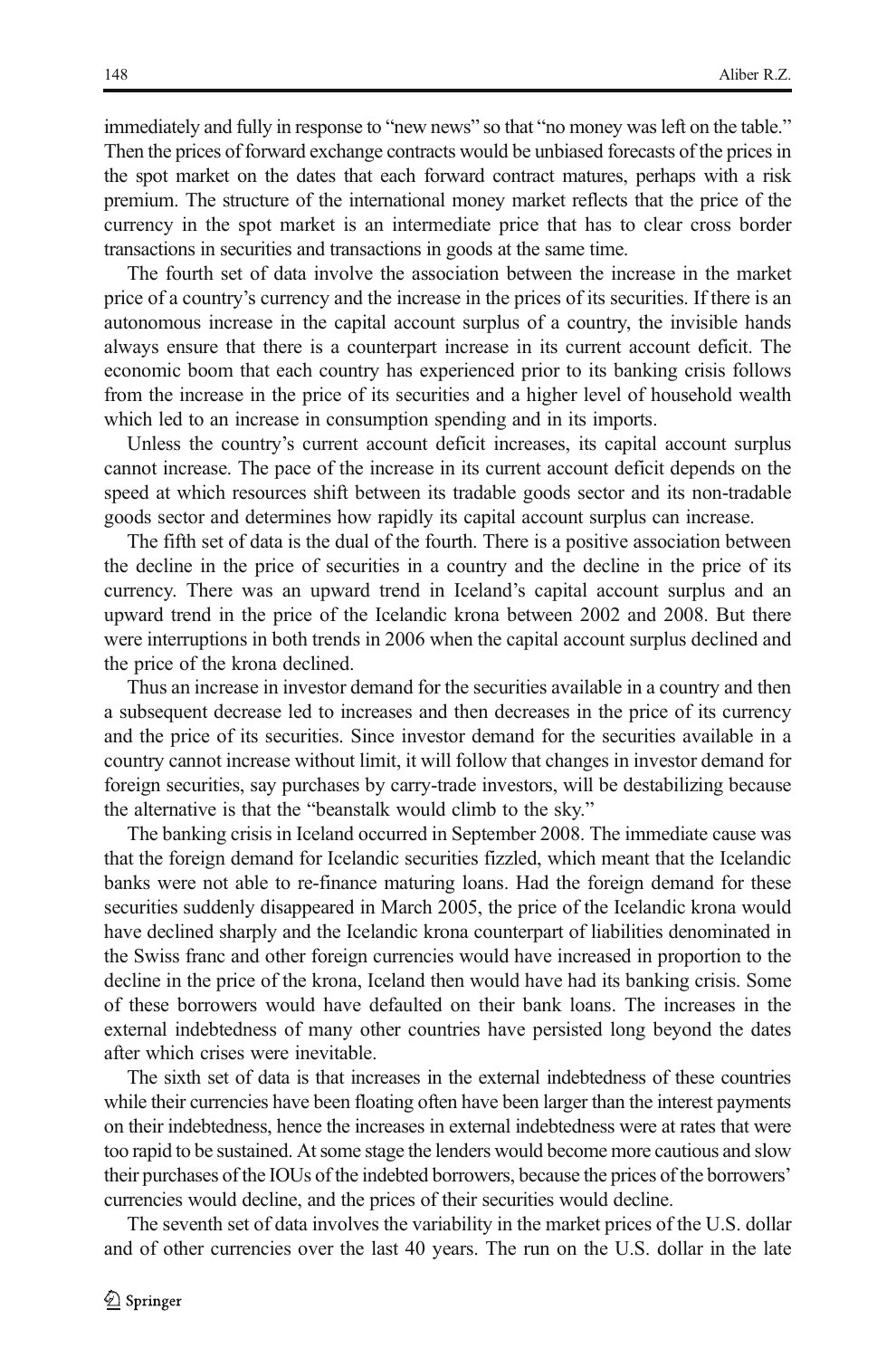immediately and fully in response to "new news" so that "no money was left on the table." Then the prices of forward exchange contracts would be unbiased forecasts of the prices in the spot market on the dates that each forward contract matures, perhaps with a risk premium. The structure of the international money market reflects that the price of the currency in the spot market is an intermediate price that has to clear cross border transactions in securities and transactions in goods at the same time.

The fourth set of data involve the association between the increase in the market price of a country's currency and the increase in the prices of its securities. If there is an autonomous increase in the capital account surplus of a country, the invisible hands always ensure that there is a counterpart increase in its current account deficit. The economic boom that each country has experienced prior to its banking crisis follows from the increase in the price of its securities and a higher level of household wealth which led to an increase in consumption spending and in its imports.

Unless the country's current account deficit increases, its capital account surplus cannot increase. The pace of the increase in its current account deficit depends on the speed at which resources shift between its tradable goods sector and its non-tradable goods sector and determines how rapidly its capital account surplus can increase.

The fifth set of data is the dual of the fourth. There is a positive association between the decline in the price of securities in a country and the decline in the price of its currency. There was an upward trend in Iceland's capital account surplus and an upward trend in the price of the Icelandic krona between 2002 and 2008. But there were interruptions in both trends in 2006 when the capital account surplus declined and the price of the krona declined.

Thus an increase in investor demand for the securities available in a country and then a subsequent decrease led to increases and then decreases in the price of its currency and the price of its securities. Since investor demand for the securities available in a country cannot increase without limit, it will follow that changes in investor demand for foreign securities, say purchases by carry-trade investors, will be destabilizing because the alternative is that the "beanstalk would climb to the sky."

The banking crisis in Iceland occurred in September 2008. The immediate cause was that the foreign demand for Icelandic securities fizzled, which meant that the Icelandic banks were not able to re-finance maturing loans. Had the foreign demand for these securities suddenly disappeared in March 2005, the price of the Icelandic krona would have declined sharply and the Icelandic krona counterpart of liabilities denominated in the Swiss franc and other foreign currencies would have increased in proportion to the decline in the price of the krona, Iceland then would have had its banking crisis. Some of these borrowers would have defaulted on their bank loans. The increases in the external indebtedness of many other countries have persisted long beyond the dates after which crises were inevitable.

The sixth set of data is that increases in the external indebtedness of these countries while their currencies have been floating often have been larger than the interest payments on their indebtedness, hence the increases in external indebtedness were at rates that were too rapid to be sustained. At some stage the lenders would become more cautious and slow their purchases of the IOUs of the indebted borrowers, because the prices of the borrowers' currencies would decline, and the prices of their securities would decline.

The seventh set of data involves the variability in the market prices of the U.S. dollar and of other currencies over the last 40 years. The run on the U.S. dollar in the late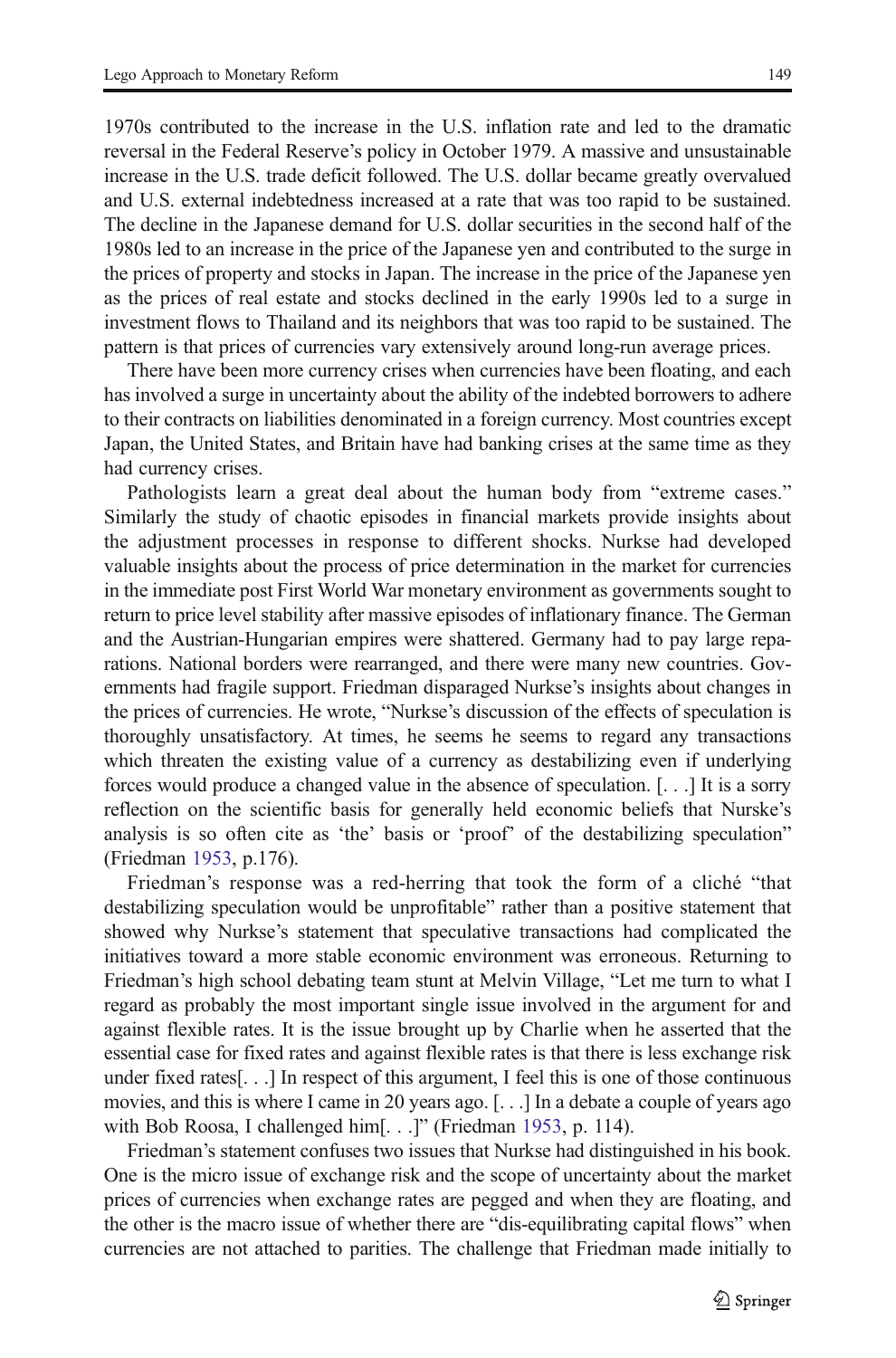1970s contributed to the increase in the U.S. inflation rate and led to the dramatic reversal in the Federal Reserve's policy in October 1979. A massive and unsustainable increase in the U.S. trade deficit followed. The U.S. dollar became greatly overvalued and U.S. external indebtedness increased at a rate that was too rapid to be sustained. The decline in the Japanese demand for U.S. dollar securities in the second half of the 1980s led to an increase in the price of the Japanese yen and contributed to the surge in the prices of property and stocks in Japan. The increase in the price of the Japanese yen as the prices of real estate and stocks declined in the early 1990s led to a surge in investment flows to Thailand and its neighbors that was too rapid to be sustained. The pattern is that prices of currencies vary extensively around long-run average prices.

There have been more currency crises when currencies have been floating, and each has involved a surge in uncertainty about the ability of the indebted borrowers to adhere to their contracts on liabilities denominated in a foreign currency. Most countries except Japan, the United States, and Britain have had banking crises at the same time as they had currency crises.

Pathologists learn a great deal about the human body from "extreme cases." Similarly the study of chaotic episodes in financial markets provide insights about the adjustment processes in response to different shocks. Nurkse had developed valuable insights about the process of price determination in the market for currencies in the immediate post First World War monetary environment as governments sought to return to price level stability after massive episodes of inflationary finance. The German and the Austrian-Hungarian empires were shattered. Germany had to pay large reparations. National borders were rearranged, and there were many new countries. Governments had fragile support. Friedman disparaged Nurkse's insights about changes in the prices of currencies. He wrote, "Nurkse's discussion of the effects of speculation is thoroughly unsatisfactory. At times, he seems he seems to regard any transactions which threaten the existing value of a currency as destabilizing even if underlying forces would produce a changed value in the absence of speculation. [. . .] It is a sorry reflection on the scientific basis for generally held economic beliefs that Nurske's analysis is so often cite as 'the' basis or 'proof' of the destabilizing speculation" (Friedman [1953,](#page-18-0) p.176).

Friedman's response was a red-herring that took the form of a cliché "that destabilizing speculation would be unprofitable" rather than a positive statement that showed why Nurkse's statement that speculative transactions had complicated the initiatives toward a more stable economic environment was erroneous. Returning to Friedman's high school debating team stunt at Melvin Village, "Let me turn to what I regard as probably the most important single issue involved in the argument for and against flexible rates. It is the issue brought up by Charlie when he asserted that the essential case for fixed rates and against flexible rates is that there is less exchange risk under fixed rates[. . .] In respect of this argument, I feel this is one of those continuous movies, and this is where I came in 20 years ago. [. . .] In a debate a couple of years ago with Bob Roosa, I challenged him......." (Friedman [1953,](#page-18-0) p. 114).

Friedman's statement confuses two issues that Nurkse had distinguished in his book. One is the micro issue of exchange risk and the scope of uncertainty about the market prices of currencies when exchange rates are pegged and when they are floating, and the other is the macro issue of whether there are "dis-equilibrating capital flows" when currencies are not attached to parities. The challenge that Friedman made initially to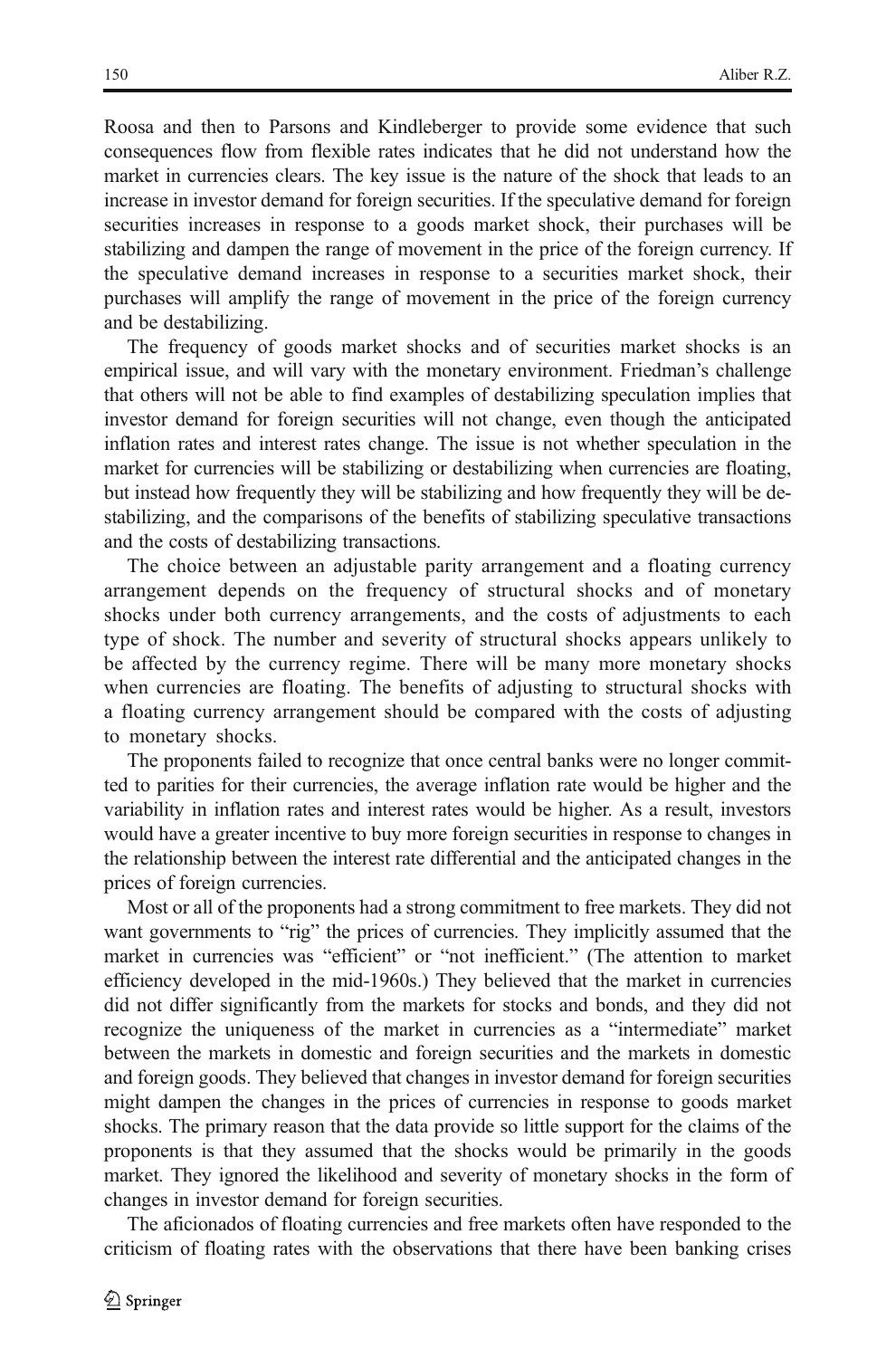Roosa and then to Parsons and Kindleberger to provide some evidence that such consequences flow from flexible rates indicates that he did not understand how the market in currencies clears. The key issue is the nature of the shock that leads to an increase in investor demand for foreign securities. If the speculative demand for foreign securities increases in response to a goods market shock, their purchases will be stabilizing and dampen the range of movement in the price of the foreign currency. If the speculative demand increases in response to a securities market shock, their purchases will amplify the range of movement in the price of the foreign currency and be destabilizing.

The frequency of goods market shocks and of securities market shocks is an empirical issue, and will vary with the monetary environment. Friedman's challenge that others will not be able to find examples of destabilizing speculation implies that investor demand for foreign securities will not change, even though the anticipated inflation rates and interest rates change. The issue is not whether speculation in the market for currencies will be stabilizing or destabilizing when currencies are floating, but instead how frequently they will be stabilizing and how frequently they will be destabilizing, and the comparisons of the benefits of stabilizing speculative transactions and the costs of destabilizing transactions.

The choice between an adjustable parity arrangement and a floating currency arrangement depends on the frequency of structural shocks and of monetary shocks under both currency arrangements, and the costs of adjustments to each type of shock. The number and severity of structural shocks appears unlikely to be affected by the currency regime. There will be many more monetary shocks when currencies are floating. The benefits of adjusting to structural shocks with a floating currency arrangement should be compared with the costs of adjusting to monetary shocks.

The proponents failed to recognize that once central banks were no longer committed to parities for their currencies, the average inflation rate would be higher and the variability in inflation rates and interest rates would be higher. As a result, investors would have a greater incentive to buy more foreign securities in response to changes in the relationship between the interest rate differential and the anticipated changes in the prices of foreign currencies.

Most or all of the proponents had a strong commitment to free markets. They did not want governments to "rig" the prices of currencies. They implicitly assumed that the market in currencies was "efficient" or "not inefficient." (The attention to market efficiency developed in the mid-1960s.) They believed that the market in currencies did not differ significantly from the markets for stocks and bonds, and they did not recognize the uniqueness of the market in currencies as a "intermediate" market between the markets in domestic and foreign securities and the markets in domestic and foreign goods. They believed that changes in investor demand for foreign securities might dampen the changes in the prices of currencies in response to goods market shocks. The primary reason that the data provide so little support for the claims of the proponents is that they assumed that the shocks would be primarily in the goods market. They ignored the likelihood and severity of monetary shocks in the form of changes in investor demand for foreign securities.

The aficionados of floating currencies and free markets often have responded to the criticism of floating rates with the observations that there have been banking crises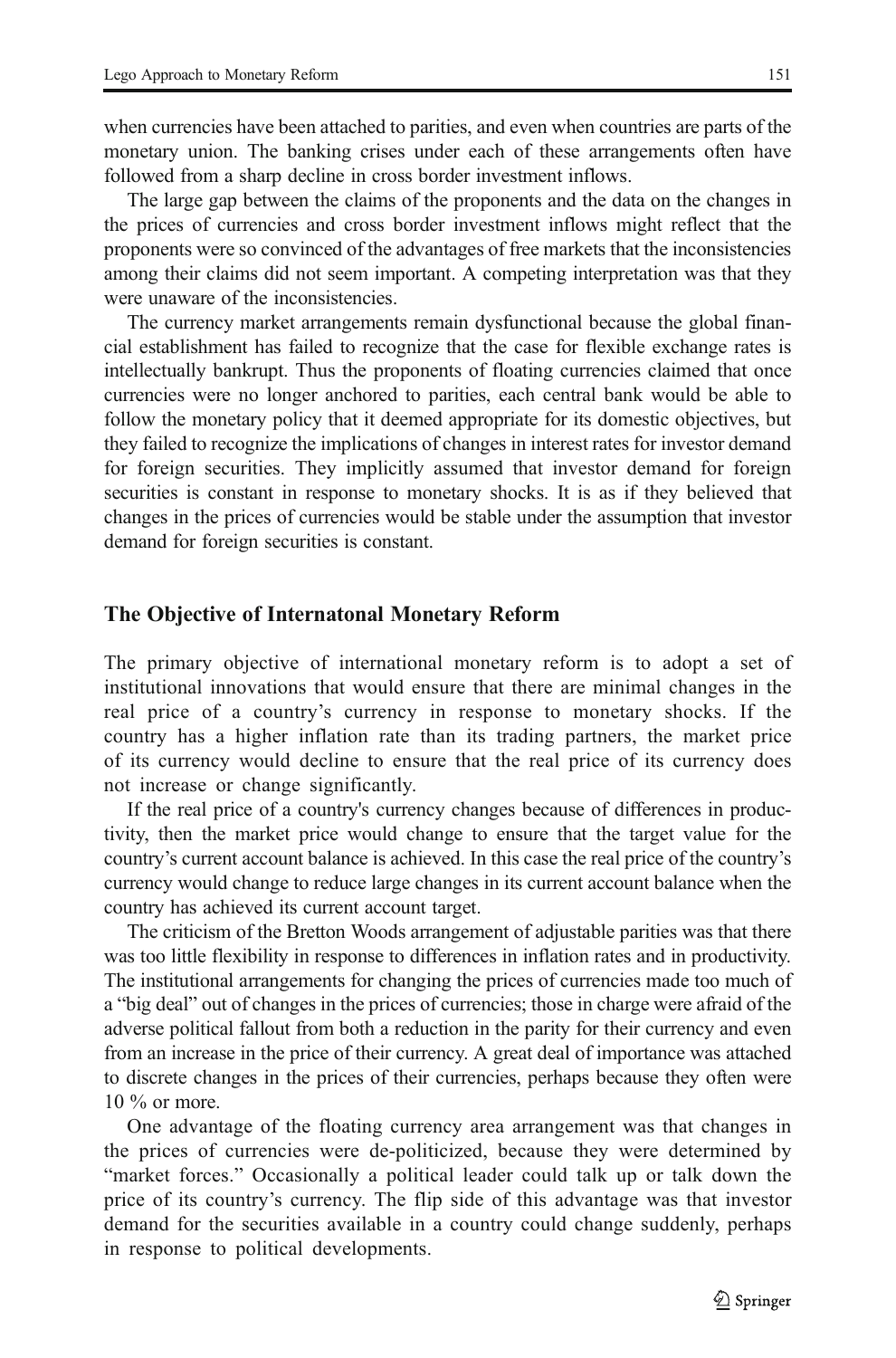when currencies have been attached to parities, and even when countries are parts of the monetary union. The banking crises under each of these arrangements often have followed from a sharp decline in cross border investment inflows.

The large gap between the claims of the proponents and the data on the changes in the prices of currencies and cross border investment inflows might reflect that the proponents were so convinced of the advantages of free markets that the inconsistencies among their claims did not seem important. A competing interpretation was that they were unaware of the inconsistencies.

The currency market arrangements remain dysfunctional because the global financial establishment has failed to recognize that the case for flexible exchange rates is intellectually bankrupt. Thus the proponents of floating currencies claimed that once currencies were no longer anchored to parities, each central bank would be able to follow the monetary policy that it deemed appropriate for its domestic objectives, but they failed to recognize the implications of changes in interest rates for investor demand for foreign securities. They implicitly assumed that investor demand for foreign securities is constant in response to monetary shocks. It is as if they believed that changes in the prices of currencies would be stable under the assumption that investor demand for foreign securities is constant.

#### The Objective of Internatonal Monetary Reform

The primary objective of international monetary reform is to adopt a set of institutional innovations that would ensure that there are minimal changes in the real price of a country's currency in response to monetary shocks. If the country has a higher inflation rate than its trading partners, the market price of its currency would decline to ensure that the real price of its currency does not increase or change significantly.

If the real price of a country's currency changes because of differences in productivity, then the market price would change to ensure that the target value for the country's current account balance is achieved. In this case the real price of the country's currency would change to reduce large changes in its current account balance when the country has achieved its current account target.

The criticism of the Bretton Woods arrangement of adjustable parities was that there was too little flexibility in response to differences in inflation rates and in productivity. The institutional arrangements for changing the prices of currencies made too much of a "big deal" out of changes in the prices of currencies; those in charge were afraid of the adverse political fallout from both a reduction in the parity for their currency and even from an increase in the price of their currency. A great deal of importance was attached to discrete changes in the prices of their currencies, perhaps because they often were 10 % or more.

One advantage of the floating currency area arrangement was that changes in the prices of currencies were de-politicized, because they were determined by "market forces." Occasionally a political leader could talk up or talk down the price of its country's currency. The flip side of this advantage was that investor demand for the securities available in a country could change suddenly, perhaps in response to political developments.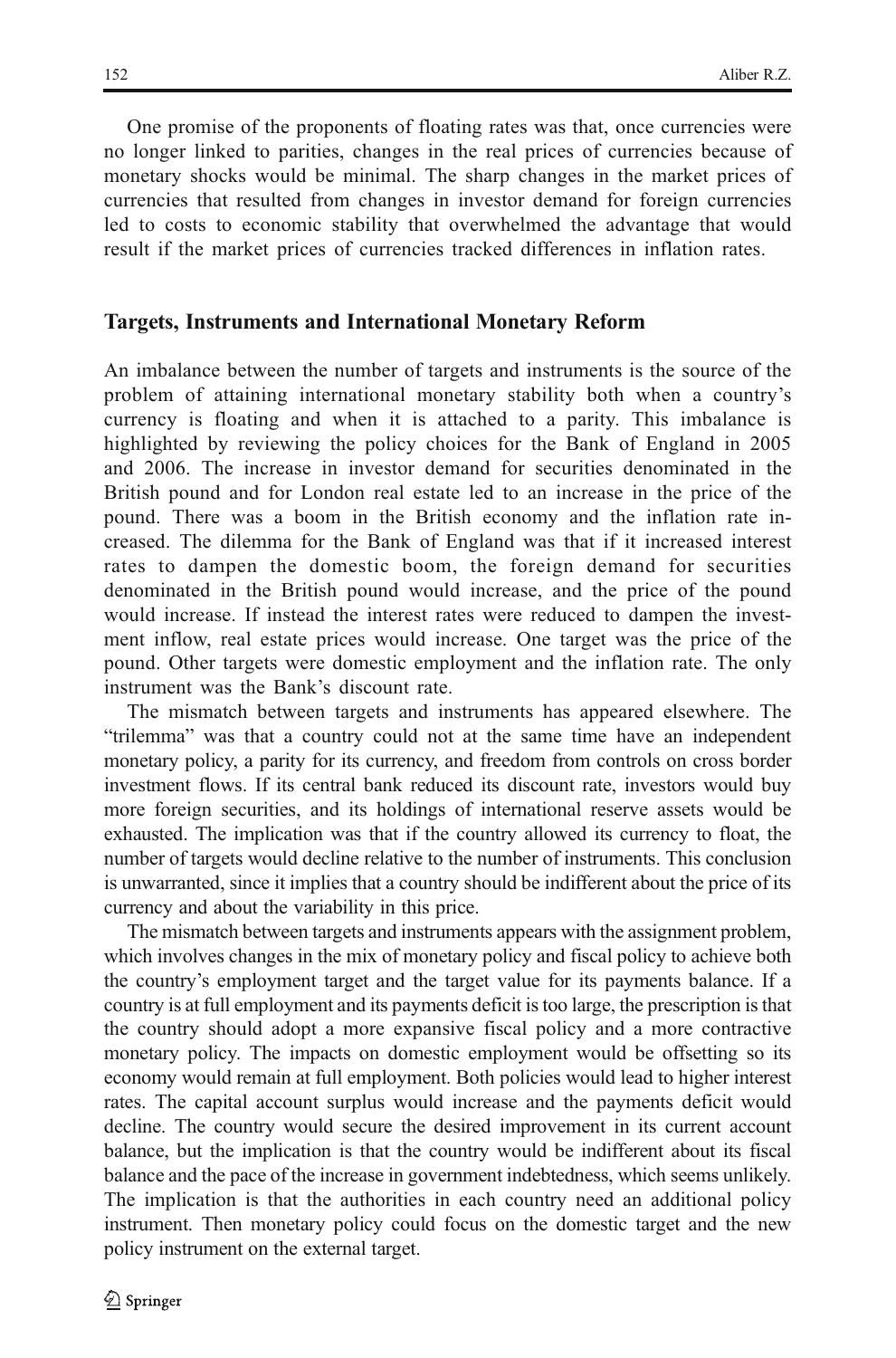One promise of the proponents of floating rates was that, once currencies were no longer linked to parities, changes in the real prices of currencies because of monetary shocks would be minimal. The sharp changes in the market prices of currencies that resulted from changes in investor demand for foreign currencies led to costs to economic stability that overwhelmed the advantage that would result if the market prices of currencies tracked differences in inflation rates.

## Targets, Instruments and International Monetary Reform

An imbalance between the number of targets and instruments is the source of the problem of attaining international monetary stability both when a country's currency is floating and when it is attached to a parity. This imbalance is highlighted by reviewing the policy choices for the Bank of England in 2005 and 2006. The increase in investor demand for securities denominated in the British pound and for London real estate led to an increase in the price of the pound. There was a boom in the British economy and the inflation rate increased. The dilemma for the Bank of England was that if it increased interest rates to dampen the domestic boom, the foreign demand for securities denominated in the British pound would increase, and the price of the pound would increase. If instead the interest rates were reduced to dampen the investment inflow, real estate prices would increase. One target was the price of the pound. Other targets were domestic employment and the inflation rate. The only instrument was the Bank's discount rate.

The mismatch between targets and instruments has appeared elsewhere. The "trilemma" was that a country could not at the same time have an independent monetary policy, a parity for its currency, and freedom from controls on cross border investment flows. If its central bank reduced its discount rate, investors would buy more foreign securities, and its holdings of international reserve assets would be exhausted. The implication was that if the country allowed its currency to float, the number of targets would decline relative to the number of instruments. This conclusion is unwarranted, since it implies that a country should be indifferent about the price of its currency and about the variability in this price.

The mismatch between targets and instruments appears with the assignment problem, which involves changes in the mix of monetary policy and fiscal policy to achieve both the country's employment target and the target value for its payments balance. If a country is at full employment and its payments deficit is too large, the prescription is that the country should adopt a more expansive fiscal policy and a more contractive monetary policy. The impacts on domestic employment would be offsetting so its economy would remain at full employment. Both policies would lead to higher interest rates. The capital account surplus would increase and the payments deficit would decline. The country would secure the desired improvement in its current account balance, but the implication is that the country would be indifferent about its fiscal balance and the pace of the increase in government indebtedness, which seems unlikely. The implication is that the authorities in each country need an additional policy instrument. Then monetary policy could focus on the domestic target and the new policy instrument on the external target.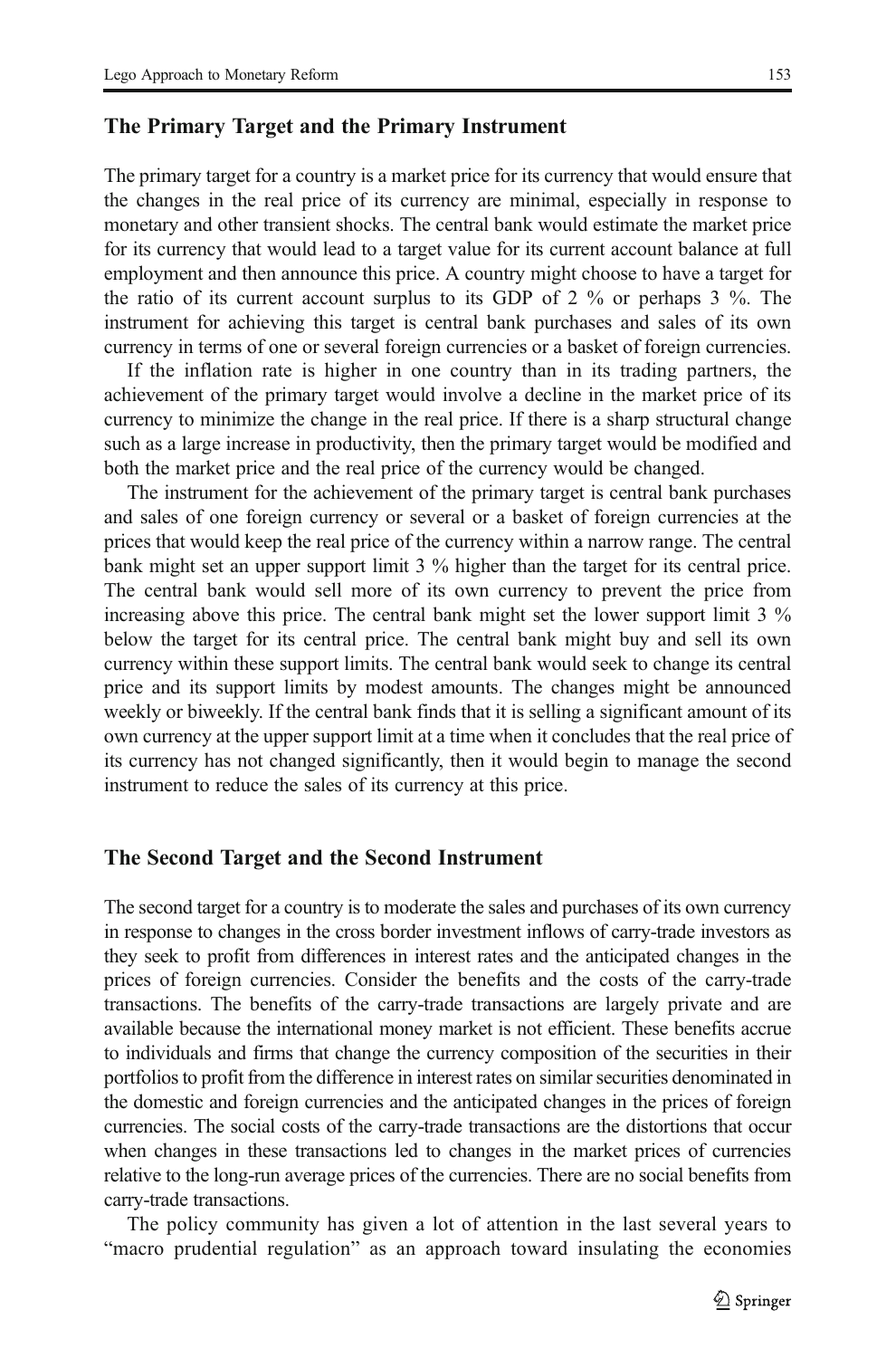# The Primary Target and the Primary Instrument

The primary target for a country is a market price for its currency that would ensure that the changes in the real price of its currency are minimal, especially in response to monetary and other transient shocks. The central bank would estimate the market price for its currency that would lead to a target value for its current account balance at full employment and then announce this price. A country might choose to have a target for the ratio of its current account surplus to its GDP of 2 % or perhaps 3 %. The instrument for achieving this target is central bank purchases and sales of its own currency in terms of one or several foreign currencies or a basket of foreign currencies.

If the inflation rate is higher in one country than in its trading partners, the achievement of the primary target would involve a decline in the market price of its currency to minimize the change in the real price. If there is a sharp structural change such as a large increase in productivity, then the primary target would be modified and both the market price and the real price of the currency would be changed.

The instrument for the achievement of the primary target is central bank purchases and sales of one foreign currency or several or a basket of foreign currencies at the prices that would keep the real price of the currency within a narrow range. The central bank might set an upper support limit 3 % higher than the target for its central price. The central bank would sell more of its own currency to prevent the price from increasing above this price. The central bank might set the lower support limit 3 % below the target for its central price. The central bank might buy and sell its own currency within these support limits. The central bank would seek to change its central price and its support limits by modest amounts. The changes might be announced weekly or biweekly. If the central bank finds that it is selling a significant amount of its own currency at the upper support limit at a time when it concludes that the real price of its currency has not changed significantly, then it would begin to manage the second instrument to reduce the sales of its currency at this price.

#### The Second Target and the Second Instrument

The second target for a country is to moderate the sales and purchases of its own currency in response to changes in the cross border investment inflows of carry-trade investors as they seek to profit from differences in interest rates and the anticipated changes in the prices of foreign currencies. Consider the benefits and the costs of the carry-trade transactions. The benefits of the carry-trade transactions are largely private and are available because the international money market is not efficient. These benefits accrue to individuals and firms that change the currency composition of the securities in their portfolios to profit from the difference in interest rates on similar securities denominated in the domestic and foreign currencies and the anticipated changes in the prices of foreign currencies. The social costs of the carry-trade transactions are the distortions that occur when changes in these transactions led to changes in the market prices of currencies relative to the long-run average prices of the currencies. There are no social benefits from carry-trade transactions.

The policy community has given a lot of attention in the last several years to "macro prudential regulation" as an approach toward insulating the economies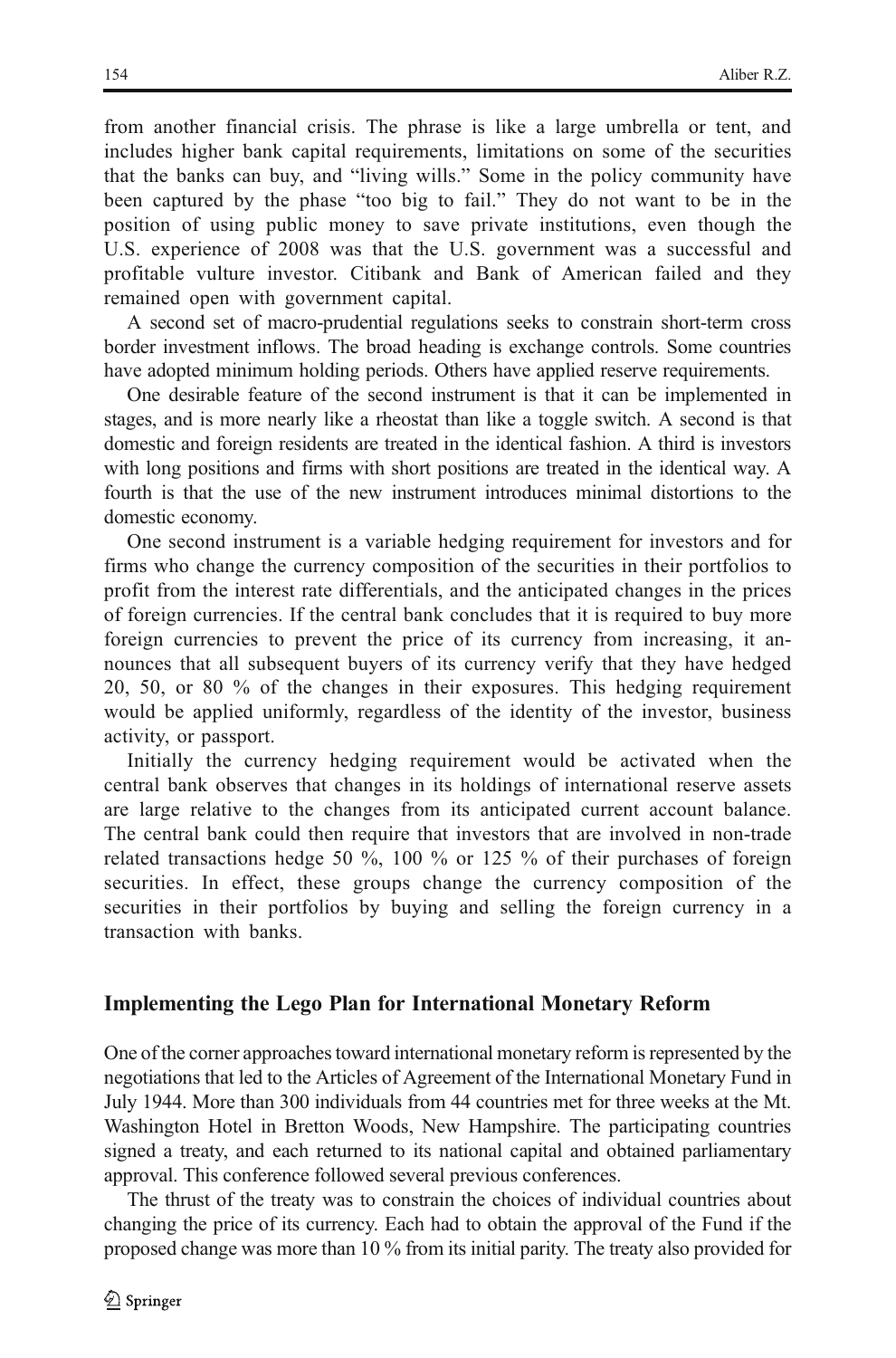from another financial crisis. The phrase is like a large umbrella or tent, and includes higher bank capital requirements, limitations on some of the securities that the banks can buy, and "living wills." Some in the policy community have been captured by the phase "too big to fail." They do not want to be in the position of using public money to save private institutions, even though the U.S. experience of 2008 was that the U.S. government was a successful and profitable vulture investor. Citibank and Bank of American failed and they remained open with government capital.

A second set of macro-prudential regulations seeks to constrain short-term cross border investment inflows. The broad heading is exchange controls. Some countries have adopted minimum holding periods. Others have applied reserve requirements.

One desirable feature of the second instrument is that it can be implemented in stages, and is more nearly like a rheostat than like a toggle switch. A second is that domestic and foreign residents are treated in the identical fashion. A third is investors with long positions and firms with short positions are treated in the identical way. A fourth is that the use of the new instrument introduces minimal distortions to the domestic economy.

One second instrument is a variable hedging requirement for investors and for firms who change the currency composition of the securities in their portfolios to profit from the interest rate differentials, and the anticipated changes in the prices of foreign currencies. If the central bank concludes that it is required to buy more foreign currencies to prevent the price of its currency from increasing, it announces that all subsequent buyers of its currency verify that they have hedged 20, 50, or 80 % of the changes in their exposures. This hedging requirement would be applied uniformly, regardless of the identity of the investor, business activity, or passport.

Initially the currency hedging requirement would be activated when the central bank observes that changes in its holdings of international reserve assets are large relative to the changes from its anticipated current account balance. The central bank could then require that investors that are involved in non-trade related transactions hedge 50 %, 100 % or 125 % of their purchases of foreign securities. In effect, these groups change the currency composition of the securities in their portfolios by buying and selling the foreign currency in a transaction with banks.

#### Implementing the Lego Plan for International Monetary Reform

One of the corner approaches toward international monetary reform is represented by the negotiations that led to the Articles of Agreement of the International Monetary Fund in July 1944. More than 300 individuals from 44 countries met for three weeks at the Mt. Washington Hotel in Bretton Woods, New Hampshire. The participating countries signed a treaty, and each returned to its national capital and obtained parliamentary approval. This conference followed several previous conferences.

The thrust of the treaty was to constrain the choices of individual countries about changing the price of its currency. Each had to obtain the approval of the Fund if the proposed change was more than 10 % from its initial parity. The treaty also provided for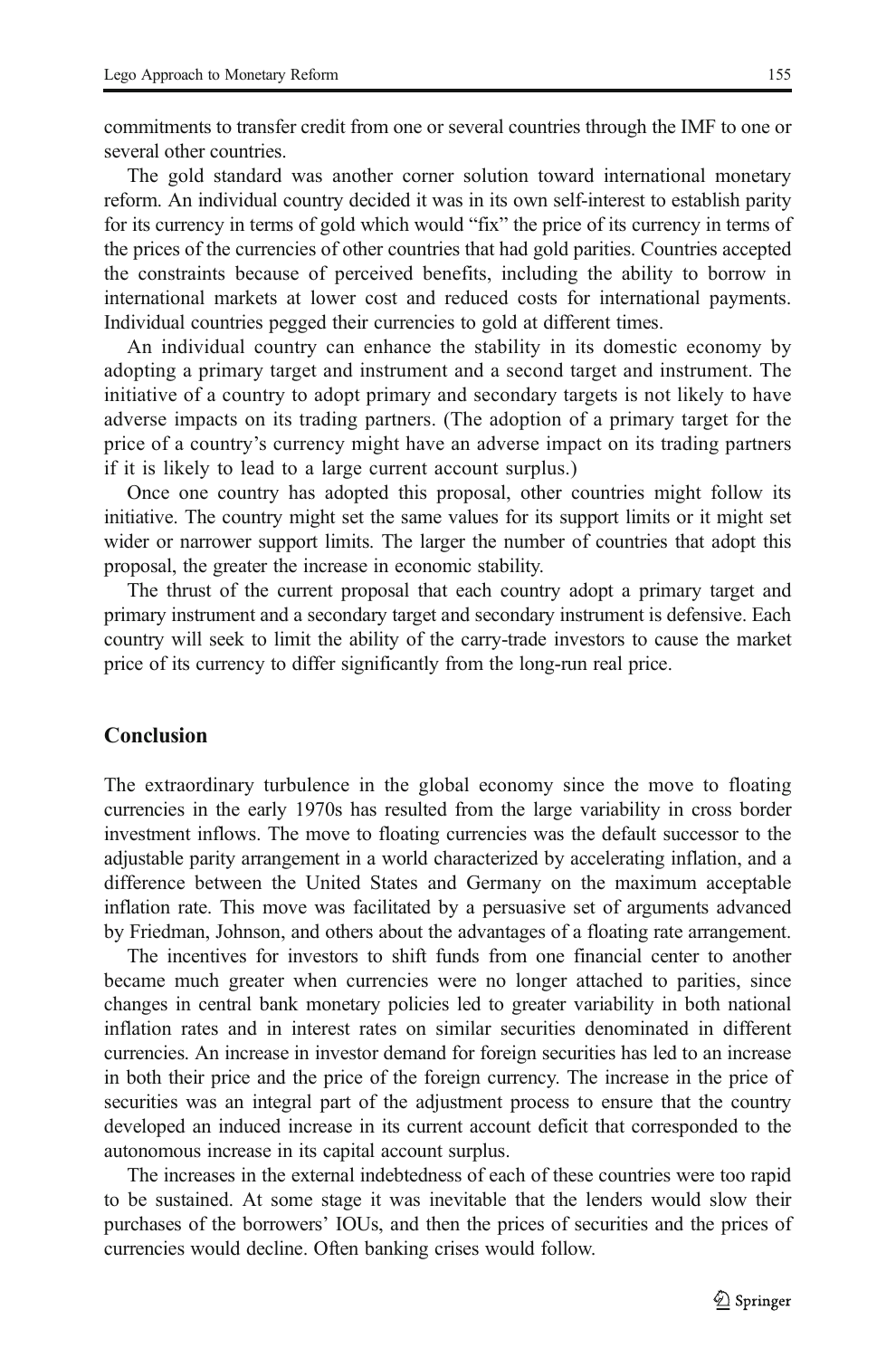commitments to transfer credit from one or several countries through the IMF to one or several other countries.

The gold standard was another corner solution toward international monetary reform. An individual country decided it was in its own self-interest to establish parity for its currency in terms of gold which would "fix" the price of its currency in terms of the prices of the currencies of other countries that had gold parities. Countries accepted the constraints because of perceived benefits, including the ability to borrow in international markets at lower cost and reduced costs for international payments. Individual countries pegged their currencies to gold at different times.

An individual country can enhance the stability in its domestic economy by adopting a primary target and instrument and a second target and instrument. The initiative of a country to adopt primary and secondary targets is not likely to have adverse impacts on its trading partners. (The adoption of a primary target for the price of a country's currency might have an adverse impact on its trading partners if it is likely to lead to a large current account surplus.)

Once one country has adopted this proposal, other countries might follow its initiative. The country might set the same values for its support limits or it might set wider or narrower support limits. The larger the number of countries that adopt this proposal, the greater the increase in economic stability.

The thrust of the current proposal that each country adopt a primary target and primary instrument and a secondary target and secondary instrument is defensive. Each country will seek to limit the ability of the carry-trade investors to cause the market price of its currency to differ significantly from the long-run real price.

## Conclusion

The extraordinary turbulence in the global economy since the move to floating currencies in the early 1970s has resulted from the large variability in cross border investment inflows. The move to floating currencies was the default successor to the adjustable parity arrangement in a world characterized by accelerating inflation, and a difference between the United States and Germany on the maximum acceptable inflation rate. This move was facilitated by a persuasive set of arguments advanced by Friedman, Johnson, and others about the advantages of a floating rate arrangement.

The incentives for investors to shift funds from one financial center to another became much greater when currencies were no longer attached to parities, since changes in central bank monetary policies led to greater variability in both national inflation rates and in interest rates on similar securities denominated in different currencies. An increase in investor demand for foreign securities has led to an increase in both their price and the price of the foreign currency. The increase in the price of securities was an integral part of the adjustment process to ensure that the country developed an induced increase in its current account deficit that corresponded to the autonomous increase in its capital account surplus.

The increases in the external indebtedness of each of these countries were too rapid to be sustained. At some stage it was inevitable that the lenders would slow their purchases of the borrowers' IOUs, and then the prices of securities and the prices of currencies would decline. Often banking crises would follow.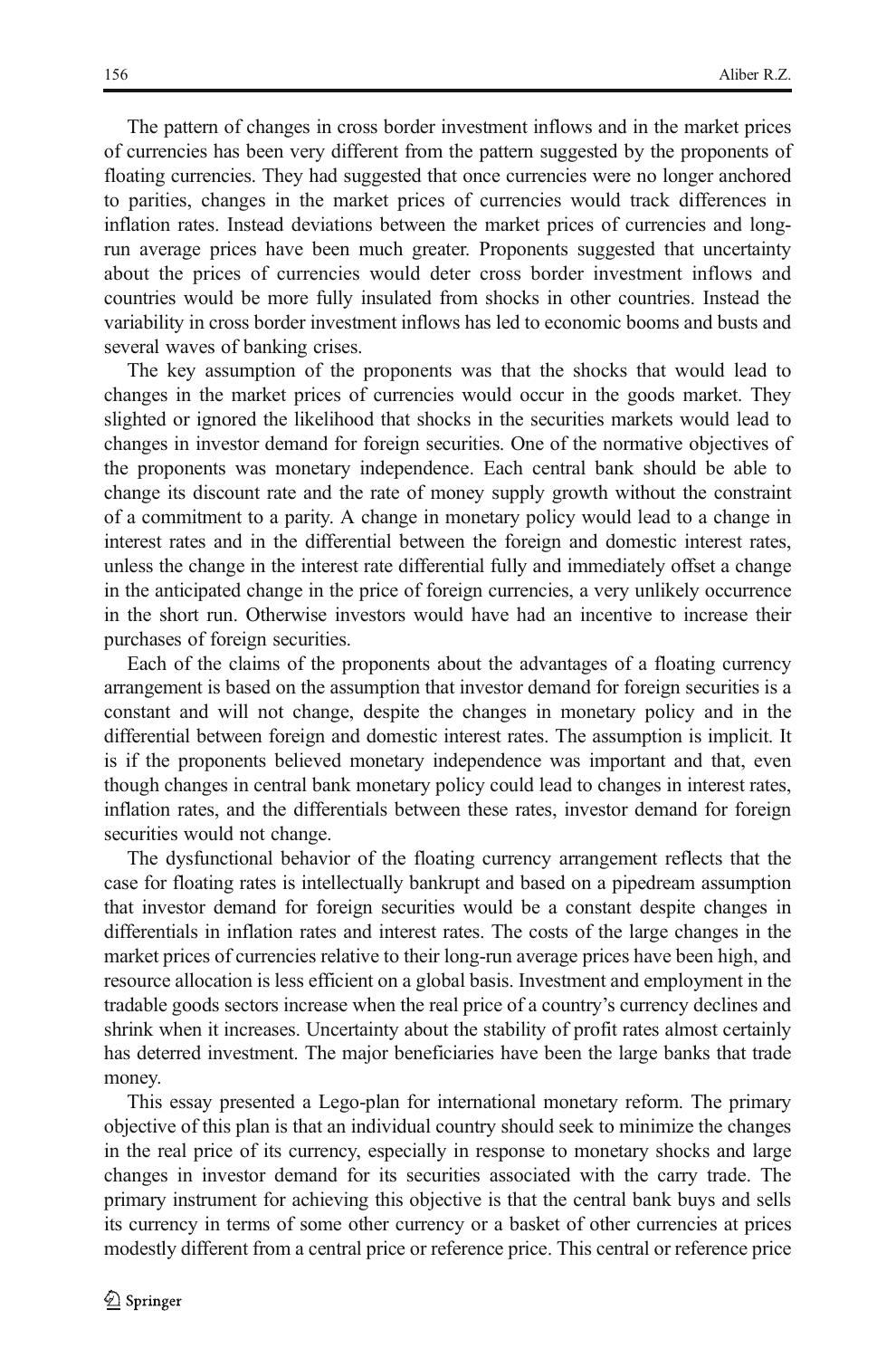The pattern of changes in cross border investment inflows and in the market prices of currencies has been very different from the pattern suggested by the proponents of floating currencies. They had suggested that once currencies were no longer anchored to parities, changes in the market prices of currencies would track differences in inflation rates. Instead deviations between the market prices of currencies and longrun average prices have been much greater. Proponents suggested that uncertainty about the prices of currencies would deter cross border investment inflows and countries would be more fully insulated from shocks in other countries. Instead the variability in cross border investment inflows has led to economic booms and busts and several waves of banking crises.

The key assumption of the proponents was that the shocks that would lead to changes in the market prices of currencies would occur in the goods market. They slighted or ignored the likelihood that shocks in the securities markets would lead to changes in investor demand for foreign securities. One of the normative objectives of the proponents was monetary independence. Each central bank should be able to change its discount rate and the rate of money supply growth without the constraint of a commitment to a parity. A change in monetary policy would lead to a change in interest rates and in the differential between the foreign and domestic interest rates, unless the change in the interest rate differential fully and immediately offset a change in the anticipated change in the price of foreign currencies, a very unlikely occurrence in the short run. Otherwise investors would have had an incentive to increase their purchases of foreign securities.

Each of the claims of the proponents about the advantages of a floating currency arrangement is based on the assumption that investor demand for foreign securities is a constant and will not change, despite the changes in monetary policy and in the differential between foreign and domestic interest rates. The assumption is implicit. It is if the proponents believed monetary independence was important and that, even though changes in central bank monetary policy could lead to changes in interest rates, inflation rates, and the differentials between these rates, investor demand for foreign securities would not change.

The dysfunctional behavior of the floating currency arrangement reflects that the case for floating rates is intellectually bankrupt and based on a pipedream assumption that investor demand for foreign securities would be a constant despite changes in differentials in inflation rates and interest rates. The costs of the large changes in the market prices of currencies relative to their long-run average prices have been high, and resource allocation is less efficient on a global basis. Investment and employment in the tradable goods sectors increase when the real price of a country's currency declines and shrink when it increases. Uncertainty about the stability of profit rates almost certainly has deterred investment. The major beneficiaries have been the large banks that trade money.

This essay presented a Lego-plan for international monetary reform. The primary objective of this plan is that an individual country should seek to minimize the changes in the real price of its currency, especially in response to monetary shocks and large changes in investor demand for its securities associated with the carry trade. The primary instrument for achieving this objective is that the central bank buys and sells its currency in terms of some other currency or a basket of other currencies at prices modestly different from a central price or reference price. This central or reference price